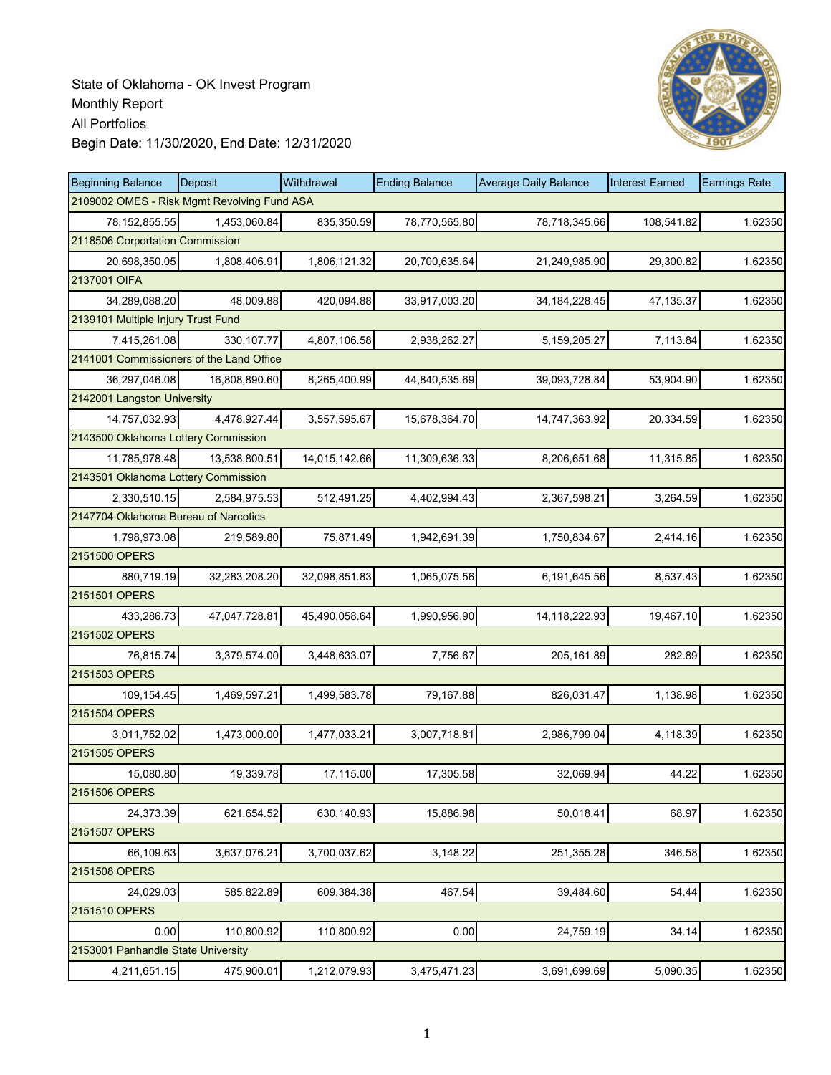

| <b>Beginning Balance</b>                 | Deposit                                     | Withdrawal    | <b>Ending Balance</b> | <b>Average Daily Balance</b> | <b>Interest Earned</b> | <b>Earnings Rate</b> |  |  |
|------------------------------------------|---------------------------------------------|---------------|-----------------------|------------------------------|------------------------|----------------------|--|--|
|                                          | 2109002 OMES - Risk Mgmt Revolving Fund ASA |               |                       |                              |                        |                      |  |  |
| 78, 152, 855.55                          | 1,453,060.84                                | 835,350.59    | 78,770,565.80         | 78,718,345.66                | 108,541.82             | 1.62350              |  |  |
| 2118506 Corportation Commission          |                                             |               |                       |                              |                        |                      |  |  |
| 20,698,350.05                            | 1,808,406.91                                | 1,806,121.32  | 20,700,635.64         | 21,249,985.90                | 29,300.82              | 1.62350              |  |  |
| 2137001 OIFA                             |                                             |               |                       |                              |                        |                      |  |  |
| 34,289,088.20                            | 48,009.88                                   | 420,094.88    | 33,917,003.20         | 34, 184, 228. 45             | 47,135.37              | 1.62350              |  |  |
| 2139101 Multiple Injury Trust Fund       |                                             |               |                       |                              |                        |                      |  |  |
| 7,415,261.08                             | 330, 107.77                                 | 4,807,106.58  | 2,938,262.27          | 5, 159, 205. 27              | 7,113.84               | 1.62350              |  |  |
| 2141001 Commissioners of the Land Office |                                             |               |                       |                              |                        |                      |  |  |
| 36,297,046.08                            | 16,808,890.60                               | 8,265,400.99  | 44,840,535.69         | 39,093,728.84                | 53,904.90              | 1.62350              |  |  |
| 2142001 Langston University              |                                             |               |                       |                              |                        |                      |  |  |
| 14,757,032.93                            | 4,478,927.44                                | 3,557,595.67  | 15,678,364.70         | 14,747,363.92                | 20,334.59              | 1.62350              |  |  |
| 2143500 Oklahoma Lottery Commission      |                                             |               |                       |                              |                        |                      |  |  |
| 11,785,978.48                            | 13,538,800.51                               | 14,015,142.66 | 11,309,636.33         | 8,206,651.68                 | 11,315.85              | 1.62350              |  |  |
| 2143501 Oklahoma Lottery Commission      |                                             |               |                       |                              |                        |                      |  |  |
| 2,330,510.15                             | 2,584,975.53                                | 512,491.25    | 4,402,994.43          | 2,367,598.21                 | 3,264.59               | 1.62350              |  |  |
| 2147704 Oklahoma Bureau of Narcotics     |                                             |               |                       |                              |                        |                      |  |  |
| 1,798,973.08                             | 219,589.80                                  | 75,871.49     | 1,942,691.39          | 1,750,834.67                 | 2,414.16               | 1.62350              |  |  |
| 2151500 OPERS                            |                                             |               |                       |                              |                        |                      |  |  |
| 880,719.19                               | 32,283,208.20                               | 32,098,851.83 | 1,065,075.56          | 6,191,645.56                 | 8,537.43               | 1.62350              |  |  |
| 2151501 OPERS                            |                                             |               |                       |                              |                        |                      |  |  |
| 433,286.73                               | 47,047,728.81                               | 45,490,058.64 | 1,990,956.90          | 14,118,222.93                | 19,467.10              | 1.62350              |  |  |
| 2151502 OPERS                            |                                             |               |                       |                              |                        |                      |  |  |
| 76,815.74                                | 3,379,574.00                                | 3,448,633.07  | 7,756.67              | 205,161.89                   | 282.89                 | 1.62350              |  |  |
| 2151503 OPERS                            |                                             |               |                       |                              |                        |                      |  |  |
| 109,154.45                               | 1,469,597.21                                | 1,499,583.78  | 79,167.88             | 826,031.47                   | 1,138.98               | 1.62350              |  |  |
| 2151504 OPERS                            |                                             |               |                       |                              |                        |                      |  |  |
| 3,011,752.02                             | 1,473,000.00                                | 1,477,033.21  | 3,007,718.81          | 2,986,799.04                 | 4,118.39               | 1.62350              |  |  |
| 2151505 OPERS                            |                                             |               |                       |                              |                        |                      |  |  |
| 15,080.80                                | 19,339.78                                   | 17,115.00     | 17,305.58             | 32,069.94                    | 44.22                  | 1.62350              |  |  |
| 2151506 OPERS                            |                                             |               |                       |                              |                        |                      |  |  |
| 24,373.39                                | 621,654.52                                  | 630,140.93    | 15,886.98             | 50,018.41                    | 68.97                  | 1.62350              |  |  |
| 2151507 OPERS                            |                                             |               |                       |                              |                        |                      |  |  |
| 66,109.63                                | 3,637,076.21                                | 3,700,037.62  | 3,148.22              | 251,355.28                   | 346.58                 | 1.62350              |  |  |
| 2151508 OPERS                            |                                             |               |                       |                              |                        |                      |  |  |
| 24,029.03                                | 585,822.89                                  | 609,384.38    | 467.54                | 39,484.60                    | 54.44                  | 1.62350              |  |  |
| 2151510 OPERS                            |                                             |               |                       |                              |                        |                      |  |  |
| 0.00                                     | 110,800.92                                  | 110,800.92    | 0.00                  | 24,759.19                    | 34.14                  | 1.62350              |  |  |
| 2153001 Panhandle State University       |                                             |               |                       |                              |                        |                      |  |  |
| 4,211,651.15                             | 475,900.01                                  | 1,212,079.93  | 3,475,471.23          | 3,691,699.69                 | 5,090.35               | 1.62350              |  |  |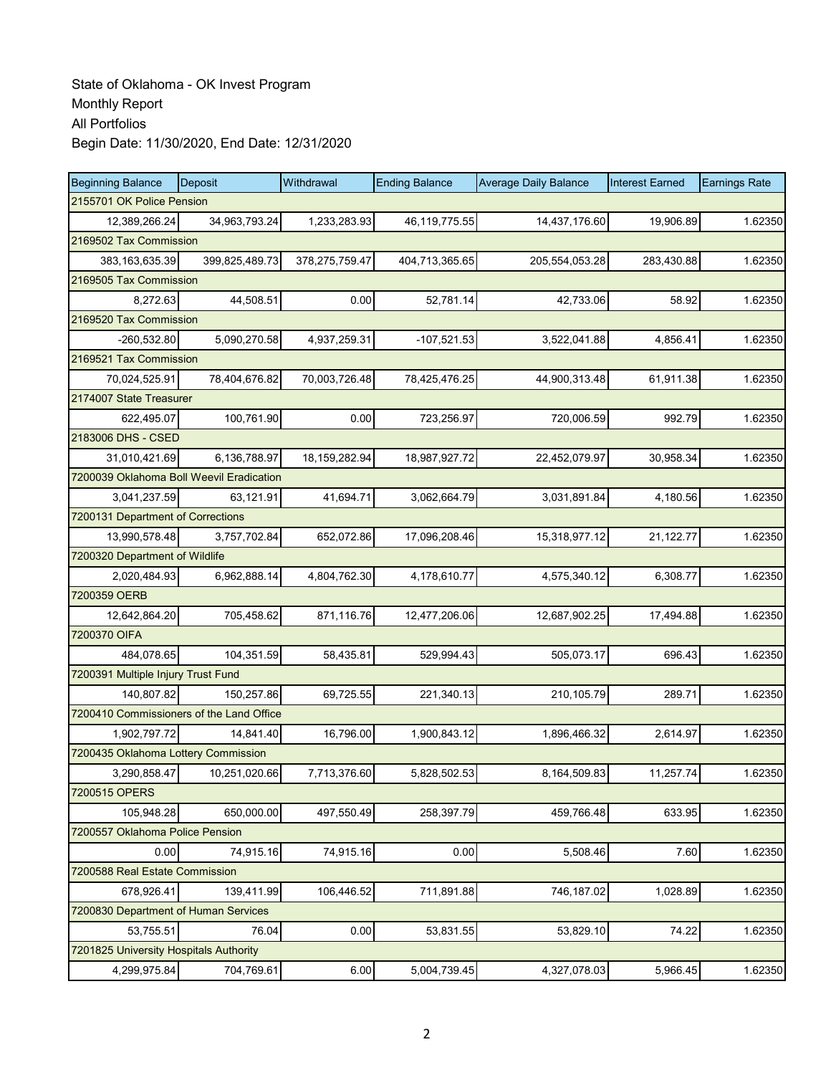| <b>Beginning Balance</b>                 | Deposit        | Withdrawal       | <b>Ending Balance</b> | <b>Average Daily Balance</b> | <b>Interest Earned</b> | <b>Earnings Rate</b> |
|------------------------------------------|----------------|------------------|-----------------------|------------------------------|------------------------|----------------------|
| 2155701 OK Police Pension                |                |                  |                       |                              |                        |                      |
| 12,389,266.24                            | 34,963,793.24  | 1,233,283.93     | 46,119,775.55         | 14,437,176.60                | 19,906.89              | 1.62350              |
| 2169502 Tax Commission                   |                |                  |                       |                              |                        |                      |
| 383, 163, 635. 39                        | 399,825,489.73 | 378,275,759.47   | 404,713,365.65        | 205,554,053.28               | 283,430.88             | 1.62350              |
| 2169505 Tax Commission                   |                |                  |                       |                              |                        |                      |
| 8,272.63                                 | 44,508.51      | 0.00             | 52,781.14             | 42,733.06                    | 58.92                  | 1.62350              |
| 2169520 Tax Commission                   |                |                  |                       |                              |                        |                      |
| -260,532.80                              | 5,090,270.58   | 4,937,259.31     | $-107,521.53$         | 3,522,041.88                 | 4,856.41               | 1.62350              |
| 2169521 Tax Commission                   |                |                  |                       |                              |                        |                      |
| 70,024,525.91                            | 78,404,676.82  | 70,003,726.48    | 78,425,476.25         | 44,900,313.48                | 61,911.38              | 1.62350              |
| 2174007 State Treasurer                  |                |                  |                       |                              |                        |                      |
| 622,495.07                               | 100,761.90     | 0.00             | 723,256.97            | 720,006.59                   | 992.79                 | 1.62350              |
| 2183006 DHS - CSED                       |                |                  |                       |                              |                        |                      |
| 31,010,421.69                            | 6,136,788.97   | 18, 159, 282. 94 | 18,987,927.72         | 22,452,079.97                | 30,958.34              | 1.62350              |
| 7200039 Oklahoma Boll Weevil Eradication |                |                  |                       |                              |                        |                      |
| 3,041,237.59                             | 63,121.91      | 41,694.71        | 3,062,664.79          | 3,031,891.84                 | 4,180.56               | 1.62350              |
| 7200131 Department of Corrections        |                |                  |                       |                              |                        |                      |
| 13,990,578.48                            | 3,757,702.84   | 652,072.86       | 17,096,208.46         | 15,318,977.12                | 21,122.77              | 1.62350              |
| 7200320 Department of Wildlife           |                |                  |                       |                              |                        |                      |
| 2,020,484.93                             | 6,962,888.14   | 4,804,762.30     | 4,178,610.77          | 4,575,340.12                 | 6,308.77               | 1.62350              |
| 7200359 OERB                             |                |                  |                       |                              |                        |                      |
| 12,642,864.20                            | 705,458.62     | 871,116.76       | 12,477,206.06         | 12,687,902.25                | 17,494.88              | 1.62350              |
| 7200370 OIFA                             |                |                  |                       |                              |                        |                      |
| 484,078.65                               | 104,351.59     | 58,435.81        | 529,994.43            | 505,073.17                   | 696.43                 | 1.62350              |
| 7200391 Multiple Injury Trust Fund       |                |                  |                       |                              |                        |                      |
| 140,807.82                               | 150,257.86     | 69,725.55        | 221,340.13            | 210,105.79                   | 289.71                 | 1.62350              |
| 7200410 Commissioners of the Land Office |                |                  |                       |                              |                        |                      |
| 1,902,797.72                             | 14.841.40      | 16,796.00        | 1,900,843.12          | 1,896,466.32                 | 2,614.97               | 1.62350              |
| 7200435 Oklahoma Lottery Commission      |                |                  |                       |                              |                        |                      |
| 3,290,858.47                             | 10,251,020.66  | 7,713,376.60     | 5,828,502.53          | 8,164,509.83                 | 11,257.74              | 1.62350              |
| 7200515 OPERS                            |                |                  |                       |                              |                        |                      |
| 105,948.28                               | 650,000.00     | 497,550.49       | 258,397.79            | 459,766.48                   | 633.95                 | 1.62350              |
| 7200557 Oklahoma Police Pension          |                |                  |                       |                              |                        |                      |
| 0.00                                     | 74,915.16      | 74,915.16        | 0.00                  | 5,508.46                     | 7.60                   | 1.62350              |
| 7200588 Real Estate Commission           |                |                  |                       |                              |                        |                      |
| 678,926.41                               | 139,411.99     | 106,446.52       | 711,891.88            | 746,187.02                   | 1,028.89               | 1.62350              |
| 7200830 Department of Human Services     |                |                  |                       |                              |                        |                      |
| 53,755.51                                | 76.04          | 0.00             | 53,831.55             | 53,829.10                    | 74.22                  | 1.62350              |
| 7201825 University Hospitals Authority   |                |                  |                       |                              |                        |                      |
| 4,299,975.84                             | 704,769.61     | 6.00             | 5,004,739.45          | 4,327,078.03                 | 5,966.45               | 1.62350              |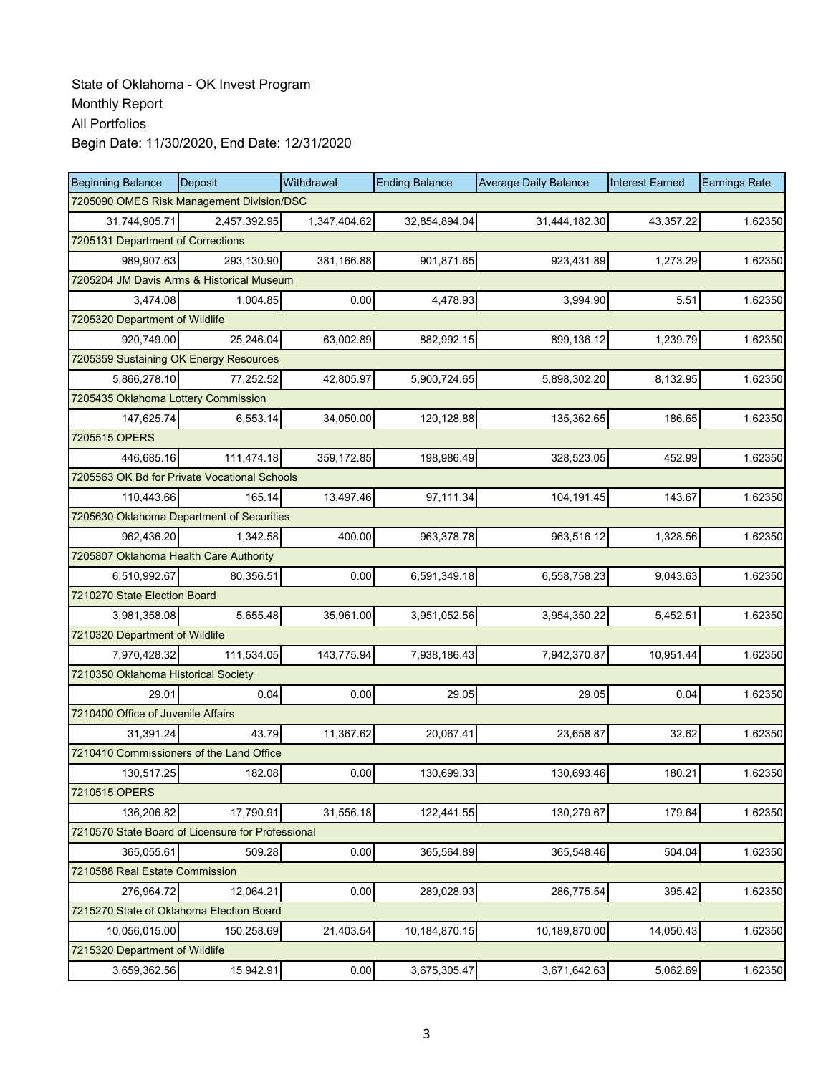| <b>Beginning Balance</b>               | <b>Deposit</b>                                    | Withdrawal   | <b>Ending Balance</b> | <b>Average Daily Balance</b> | <b>Interest Earned</b> | <b>Earnings Rate</b> |
|----------------------------------------|---------------------------------------------------|--------------|-----------------------|------------------------------|------------------------|----------------------|
|                                        | 7205090 OMES Risk Management Division/DSC         |              |                       |                              |                        |                      |
| 31,744,905.71                          | 2,457,392.95                                      | 1,347,404.62 | 32,854,894.04         | 31,444,182.30                | 43,357.22              | 1.62350              |
| 7205131 Department of Corrections      |                                                   |              |                       |                              |                        |                      |
| 989,907.63                             | 293,130.90                                        | 381,166.88   | 901,871.65            | 923,431.89                   | 1,273.29               | 1.62350              |
|                                        | 7205204 JM Davis Arms & Historical Museum         |              |                       |                              |                        |                      |
| 3,474.08                               | 1,004.85                                          | 0.00         | 4,478.93              | 3,994.90                     | 5.51                   | 1.62350              |
| 7205320 Department of Wildlife         |                                                   |              |                       |                              |                        |                      |
| 920,749.00                             | 25,246.04                                         | 63,002.89    | 882,992.15            | 899,136.12                   | 1,239.79               | 1.62350              |
| 7205359 Sustaining OK Energy Resources |                                                   |              |                       |                              |                        |                      |
| 5,866,278.10                           | 77,252.52                                         | 42,805.97    | 5,900,724.65          | 5,898,302.20                 | 8,132.95               | 1.62350              |
| 7205435 Oklahoma Lottery Commission    |                                                   |              |                       |                              |                        |                      |
| 147,625.74                             | 6,553.14                                          | 34,050.00    | 120,128.88            | 135,362.65                   | 186.65                 | 1.62350              |
| 7205515 OPERS                          |                                                   |              |                       |                              |                        |                      |
| 446,685.16                             | 111,474.18                                        | 359,172.85   | 198,986.49            | 328,523.05                   | 452.99                 | 1.62350              |
|                                        | 7205563 OK Bd for Private Vocational Schools      |              |                       |                              |                        |                      |
| 110,443.66                             | 165.14                                            | 13,497.46    | 97,111.34             | 104,191.45                   | 143.67                 | 1.62350              |
|                                        | 7205630 Oklahoma Department of Securities         |              |                       |                              |                        |                      |
| 962,436.20                             | 1,342.58                                          | 400.00       | 963,378.78            | 963,516.12                   | 1,328.56               | 1.62350              |
| 7205807 Oklahoma Health Care Authority |                                                   |              |                       |                              |                        |                      |
| 6,510,992.67                           | 80,356.51                                         | 0.00         | 6,591,349.18          | 6,558,758.23                 | 9,043.63               | 1.62350              |
| 7210270 State Election Board           |                                                   |              |                       |                              |                        |                      |
| 3,981,358.08                           | 5,655.48                                          | 35,961.00    | 3,951,052.56          | 3,954,350.22                 | 5,452.51               | 1.62350              |
| 7210320 Department of Wildlife         |                                                   |              |                       |                              |                        |                      |
| 7,970,428.32                           | 111,534.05                                        | 143,775.94   | 7,938,186.43          | 7,942,370.87                 | 10,951.44              | 1.62350              |
| 7210350 Oklahoma Historical Society    |                                                   |              |                       |                              |                        |                      |
| 29.01                                  | 0.04                                              | 0.00         | 29.05                 | 29.05                        | 0.04                   | 1.62350              |
| 7210400 Office of Juvenile Affairs     |                                                   |              |                       |                              |                        |                      |
| 31,391.24                              | 43.79                                             | 11,367.62    | 20,067.41             | 23,658.87                    | 32.62                  | 1.62350              |
|                                        | 7210410 Commissioners of the Land Office          |              |                       |                              |                        |                      |
| 130,517.25                             | 182.08                                            | 0.00         | 130,699.33            | 130.693.46                   | 180.21                 | 1.62350              |
| 7210515 OPERS                          |                                                   |              |                       |                              |                        |                      |
| 136,206.82                             | 17,790.91                                         | 31,556.18    | 122,441.55            | 130,279.67                   | 179.64                 | 1.62350              |
|                                        | 7210570 State Board of Licensure for Professional |              |                       |                              |                        |                      |
| 365,055.61                             | 509.28                                            | 0.00         | 365,564.89            | 365,548.46                   | 504.04                 | 1.62350              |
| 7210588 Real Estate Commission         |                                                   |              |                       |                              |                        |                      |
| 276,964.72                             | 12,064.21                                         | 0.00         | 289,028.93            | 286,775.54                   | 395.42                 | 1.62350              |
|                                        | 7215270 State of Oklahoma Election Board          |              |                       |                              |                        |                      |
| 10,056,015.00                          | 150,258.69                                        | 21,403.54    | 10,184,870.15         | 10,189,870.00                | 14,050.43              | 1.62350              |
| 7215320 Department of Wildlife         |                                                   |              |                       |                              |                        |                      |
| 3,659,362.56                           | 15,942.91                                         | 0.00         | 3,675,305.47          | 3,671,642.63                 | 5,062.69               | 1.62350              |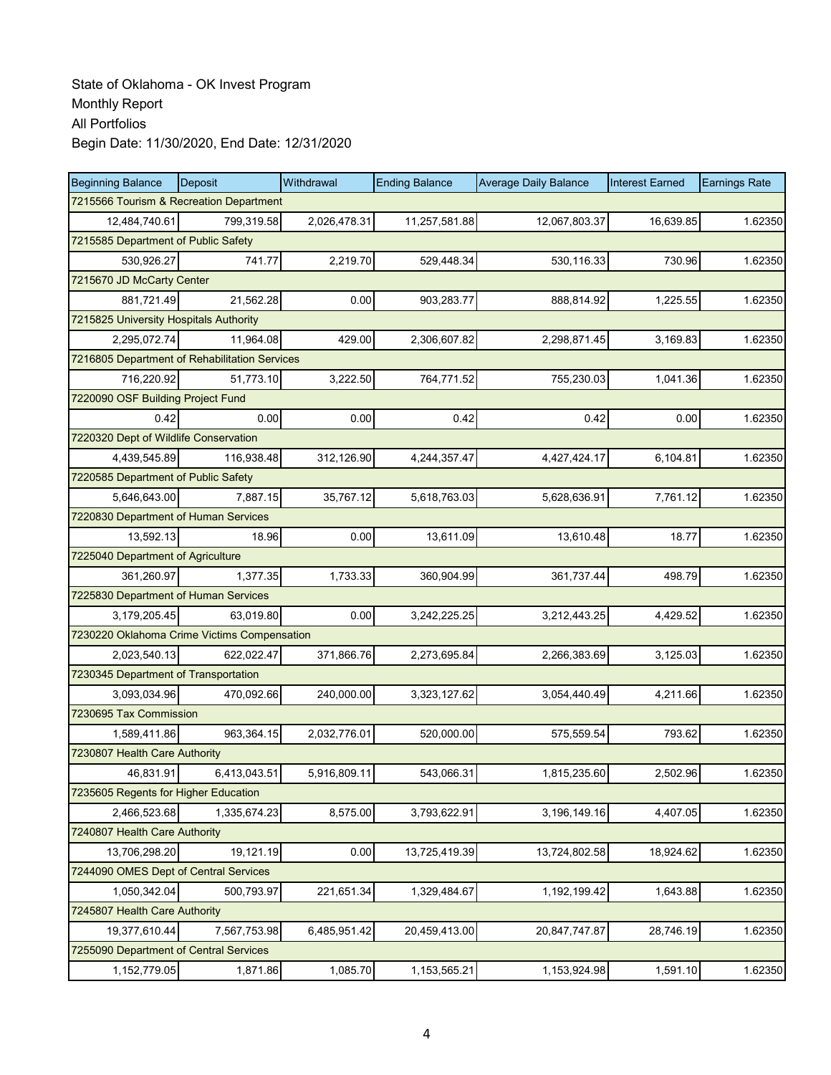| <b>Beginning Balance</b>                    | Deposit                                       | Withdrawal   | <b>Ending Balance</b> | <b>Average Daily Balance</b> | <b>Interest Earned</b> | <b>Earnings Rate</b> |
|---------------------------------------------|-----------------------------------------------|--------------|-----------------------|------------------------------|------------------------|----------------------|
| 7215566 Tourism & Recreation Department     |                                               |              |                       |                              |                        |                      |
| 12,484,740.61                               | 799,319.58                                    | 2,026,478.31 | 11,257,581.88         | 12,067,803.37                | 16,639.85              | 1.62350              |
| 7215585 Department of Public Safety         |                                               |              |                       |                              |                        |                      |
| 530,926.27                                  | 741.77                                        | 2,219.70     | 529,448.34            | 530,116.33                   | 730.96                 | 1.62350              |
| 7215670 JD McCarty Center                   |                                               |              |                       |                              |                        |                      |
| 881,721.49                                  | 21,562.28                                     | 0.00         | 903,283.77            | 888,814.92                   | 1,225.55               | 1.62350              |
| 7215825 University Hospitals Authority      |                                               |              |                       |                              |                        |                      |
| 2,295,072.74                                | 11,964.08                                     | 429.00       | 2,306,607.82          | 2,298,871.45                 | 3,169.83               | 1.62350              |
|                                             | 7216805 Department of Rehabilitation Services |              |                       |                              |                        |                      |
| 716,220.92                                  | 51,773.10                                     | 3,222.50     | 764,771.52            | 755,230.03                   | 1,041.36               | 1.62350              |
| 7220090 OSF Building Project Fund           |                                               |              |                       |                              |                        |                      |
| 0.42                                        | 0.00                                          | 0.00         | 0.42                  | 0.42                         | 0.00                   | 1.62350              |
| 7220320 Dept of Wildlife Conservation       |                                               |              |                       |                              |                        |                      |
| 4,439,545.89                                | 116,938.48                                    | 312,126.90   | 4,244,357.47          | 4,427,424.17                 | 6,104.81               | 1.62350              |
| 7220585 Department of Public Safety         |                                               |              |                       |                              |                        |                      |
| 5.646.643.00                                | 7,887.15                                      | 35,767.12    | 5,618,763.03          | 5,628,636.91                 | 7,761.12               | 1.62350              |
| 7220830 Department of Human Services        |                                               |              |                       |                              |                        |                      |
| 13,592.13                                   | 18.96                                         | 0.00         | 13,611.09             | 13,610.48                    | 18.77                  | 1.62350              |
| 7225040 Department of Agriculture           |                                               |              |                       |                              |                        |                      |
| 361,260.97                                  | 1,377.35                                      | 1,733.33     | 360,904.99            | 361,737.44                   | 498.79                 | 1.62350              |
| 7225830 Department of Human Services        |                                               |              |                       |                              |                        |                      |
| 3,179,205.45                                | 63,019.80                                     | 0.00         | 3,242,225.25          | 3,212,443.25                 | 4,429.52               | 1.62350              |
| 7230220 Oklahoma Crime Victims Compensation |                                               |              |                       |                              |                        |                      |
| 2,023,540.13                                | 622,022.47                                    | 371,866.76   | 2,273,695.84          | 2,266,383.69                 | 3,125.03               | 1.62350              |
| 7230345 Department of Transportation        |                                               |              |                       |                              |                        |                      |
| 3,093,034.96                                | 470,092.66                                    | 240,000.00   | 3,323,127.62          | 3,054,440.49                 | 4,211.66               | 1.62350              |
| 7230695 Tax Commission                      |                                               |              |                       |                              |                        |                      |
| 1,589,411.86                                | 963,364.15                                    | 2,032,776.01 | 520,000.00            | 575,559.54                   | 793.62                 | 1.62350              |
| 7230807 Health Care Authority               |                                               |              |                       |                              |                        |                      |
| 46,831.91                                   | 6,413,043.51                                  | 5,916,809.11 | 543,066.31            | 1,815,235.60                 | 2,502.96               | 1.62350              |
| 7235605 Regents for Higher Education        |                                               |              |                       |                              |                        |                      |
| 2,466,523.68                                | 1,335,674.23                                  | 8,575.00     | 3,793,622.91          | 3,196,149.16                 | 4,407.05               | 1.62350              |
| 7240807 Health Care Authority               |                                               |              |                       |                              |                        |                      |
| 13,706,298.20                               | 19,121.19                                     | 0.00         | 13,725,419.39         | 13,724,802.58                | 18,924.62              | 1.62350              |
| 7244090 OMES Dept of Central Services       |                                               |              |                       |                              |                        |                      |
| 1,050,342.04                                | 500,793.97                                    | 221,651.34   | 1,329,484.67          | 1,192,199.42                 | 1,643.88               | 1.62350              |
| 7245807 Health Care Authority               |                                               |              |                       |                              |                        |                      |
| 19,377,610.44                               | 7,567,753.98                                  | 6,485,951.42 | 20,459,413.00         | 20,847,747.87                | 28,746.19              | 1.62350              |
| 7255090 Department of Central Services      |                                               |              |                       |                              |                        |                      |
| 1,152,779.05                                | 1,871.86                                      | 1,085.70     | 1,153,565.21          | 1,153,924.98                 | 1,591.10               | 1.62350              |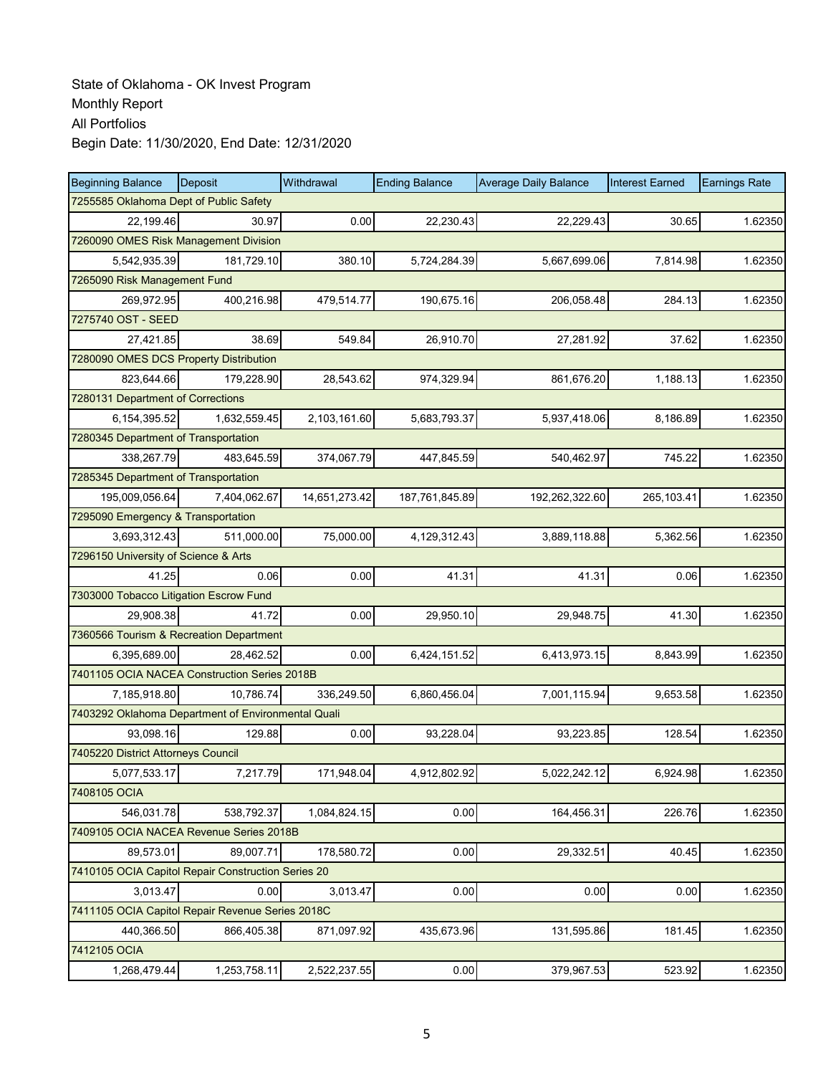| <b>Beginning Balance</b>                           | Deposit      | Withdrawal    | <b>Ending Balance</b> | <b>Average Daily Balance</b> | <b>Interest Earned</b> | <b>Earnings Rate</b> |  |  |
|----------------------------------------------------|--------------|---------------|-----------------------|------------------------------|------------------------|----------------------|--|--|
| 7255585 Oklahoma Dept of Public Safety             |              |               |                       |                              |                        |                      |  |  |
| 22,199.46                                          | 30.97        | 0.00          | 22,230.43             | 22,229.43                    | 30.65                  | 1.62350              |  |  |
| 7260090 OMES Risk Management Division              |              |               |                       |                              |                        |                      |  |  |
| 5,542,935.39                                       | 181,729.10   | 380.10        | 5,724,284.39          | 5,667,699.06                 | 7,814.98               | 1.62350              |  |  |
| 7265090 Risk Management Fund                       |              |               |                       |                              |                        |                      |  |  |
| 269,972.95                                         | 400,216.98   | 479,514.77    | 190,675.16            | 206,058.48                   | 284.13                 | 1.62350              |  |  |
| 7275740 OST - SEED                                 |              |               |                       |                              |                        |                      |  |  |
| 27,421.85                                          | 38.69        | 549.84        | 26,910.70             | 27,281.92                    | 37.62                  | 1.62350              |  |  |
| 7280090 OMES DCS Property Distribution             |              |               |                       |                              |                        |                      |  |  |
| 823,644.66                                         | 179,228.90   | 28,543.62     | 974,329.94            | 861,676.20                   | 1,188.13               | 1.62350              |  |  |
| 7280131 Department of Corrections                  |              |               |                       |                              |                        |                      |  |  |
| 6,154,395.52                                       | 1,632,559.45 | 2,103,161.60  | 5,683,793.37          | 5,937,418.06                 | 8,186.89               | 1.62350              |  |  |
| 7280345 Department of Transportation               |              |               |                       |                              |                        |                      |  |  |
| 338,267.79                                         | 483,645.59   | 374,067.79    | 447,845.59            | 540,462.97                   | 745.22                 | 1.62350              |  |  |
| 7285345 Department of Transportation               |              |               |                       |                              |                        |                      |  |  |
| 195,009,056.64                                     | 7,404,062.67 | 14,651,273.42 | 187,761,845.89        | 192,262,322.60               | 265,103.41             | 1.62350              |  |  |
| 7295090 Emergency & Transportation                 |              |               |                       |                              |                        |                      |  |  |
| 3,693,312.43                                       | 511,000.00   | 75,000.00     | 4,129,312.43          | 3,889,118.88                 | 5,362.56               | 1.62350              |  |  |
| 7296150 University of Science & Arts               |              |               |                       |                              |                        |                      |  |  |
| 41.25                                              | 0.06         | 0.00          | 41.31                 | 41.31                        | 0.06                   | 1.62350              |  |  |
| 7303000 Tobacco Litigation Escrow Fund             |              |               |                       |                              |                        |                      |  |  |
| 29,908.38                                          | 41.72        | 0.00          | 29,950.10             | 29,948.75                    | 41.30                  | 1.62350              |  |  |
| 7360566 Tourism & Recreation Department            |              |               |                       |                              |                        |                      |  |  |
| 6,395,689.00                                       | 28.462.52    | 0.00          | 6,424,151.52          | 6,413,973.15                 | 8,843.99               | 1.62350              |  |  |
| 7401105 OCIA NACEA Construction Series 2018B       |              |               |                       |                              |                        |                      |  |  |
| 7,185,918.80                                       | 10,786.74    | 336,249.50    | 6,860,456.04          | 7,001,115.94                 | 9,653.58               | 1.62350              |  |  |
| 7403292 Oklahoma Department of Environmental Quali |              |               |                       |                              |                        |                      |  |  |
| 93,098.16                                          | 129.88       | 0.00          | 93,228.04             | 93,223.85                    | 128.54                 | 1.62350              |  |  |
| 7405220 District Attorneys Council                 |              |               |                       |                              |                        |                      |  |  |
| 5,077,533.17                                       | 7,217.79     | 171,948.04    | 4.912.802.92          | 5,022,242.12                 | 6,924.98               | 1.62350              |  |  |
| 7408105 OCIA                                       |              |               |                       |                              |                        |                      |  |  |
| 546,031.78                                         | 538,792.37   | 1,084,824.15  | 0.00                  | 164,456.31                   | 226.76                 | 1.62350              |  |  |
| 7409105 OCIA NACEA Revenue Series 2018B            |              |               |                       |                              |                        |                      |  |  |
| 89,573.01                                          | 89,007.71    | 178,580.72    | 0.00                  | 29,332.51                    | 40.45                  | 1.62350              |  |  |
| 7410105 OCIA Capitol Repair Construction Series 20 |              |               |                       |                              |                        |                      |  |  |
| 3,013.47                                           | 0.00         | 3,013.47      | 0.00                  | 0.00                         | 0.00                   | 1.62350              |  |  |
| 7411105 OCIA Capitol Repair Revenue Series 2018C   |              |               |                       |                              |                        |                      |  |  |
| 440,366.50                                         | 866,405.38   | 871,097.92    | 435,673.96            | 131,595.86                   | 181.45                 | 1.62350              |  |  |
| 7412105 OCIA                                       |              |               |                       |                              |                        |                      |  |  |
| 1,268,479.44                                       | 1,253,758.11 | 2,522,237.55  | 0.00                  | 379,967.53                   | 523.92                 | 1.62350              |  |  |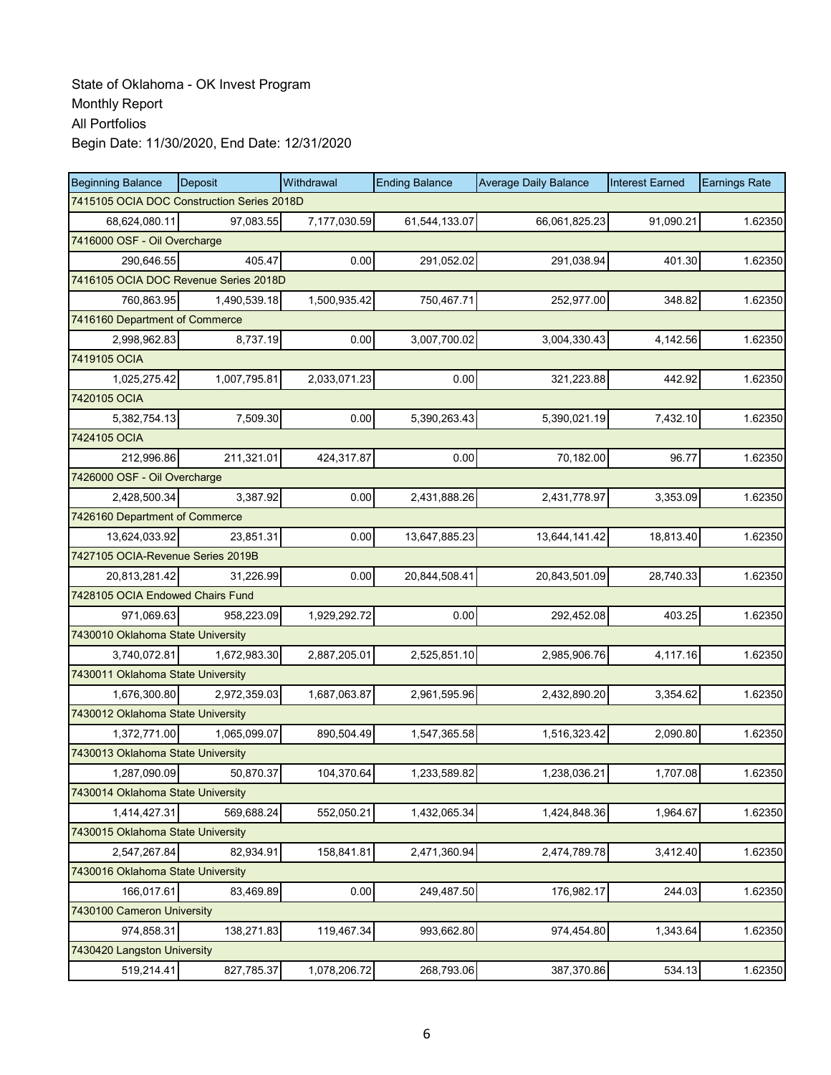| <b>Beginning Balance</b>          | Deposit                                    | Withdrawal   | <b>Ending Balance</b> | <b>Average Daily Balance</b> | <b>Interest Earned</b> | <b>Earnings Rate</b> |
|-----------------------------------|--------------------------------------------|--------------|-----------------------|------------------------------|------------------------|----------------------|
|                                   | 7415105 OCIA DOC Construction Series 2018D |              |                       |                              |                        |                      |
| 68,624,080.11                     | 97,083.55                                  | 7,177,030.59 | 61,544,133.07         | 66,061,825.23                | 91,090.21              | 1.62350              |
| 7416000 OSF - Oil Overcharge      |                                            |              |                       |                              |                        |                      |
| 290,646.55                        | 405.47                                     | 0.00         | 291,052.02            | 291,038.94                   | 401.30                 | 1.62350              |
|                                   | 7416105 OCIA DOC Revenue Series 2018D      |              |                       |                              |                        |                      |
| 760,863.95                        | 1,490,539.18                               | 1,500,935.42 | 750,467.71            | 252,977.00                   | 348.82                 | 1.62350              |
| 7416160 Department of Commerce    |                                            |              |                       |                              |                        |                      |
| 2,998,962.83                      | 8,737.19                                   | 0.00         | 3,007,700.02          | 3,004,330.43                 | 4,142.56               | 1.62350              |
| 7419105 OCIA                      |                                            |              |                       |                              |                        |                      |
| 1,025,275.42                      | 1,007,795.81                               | 2,033,071.23 | 0.00                  | 321,223.88                   | 442.92                 | 1.62350              |
| 7420105 OCIA                      |                                            |              |                       |                              |                        |                      |
| 5,382,754.13                      | 7,509.30                                   | 0.00         | 5,390,263.43          | 5,390,021.19                 | 7,432.10               | 1.62350              |
| 7424105 OCIA                      |                                            |              |                       |                              |                        |                      |
| 212,996.86                        | 211,321.01                                 | 424,317.87   | 0.00                  | 70,182.00                    | 96.77                  | 1.62350              |
| 7426000 OSF - Oil Overcharge      |                                            |              |                       |                              |                        |                      |
| 2,428,500.34                      | 3,387.92                                   | 0.00         | 2,431,888.26          | 2,431,778.97                 | 3,353.09               | 1.62350              |
| 7426160 Department of Commerce    |                                            |              |                       |                              |                        |                      |
| 13,624,033.92                     | 23,851.31                                  | 0.00         | 13,647,885.23         | 13,644,141.42                | 18,813.40              | 1.62350              |
| 7427105 OCIA-Revenue Series 2019B |                                            |              |                       |                              |                        |                      |
| 20,813,281.42                     | 31,226.99                                  | 0.00         | 20,844,508.41         | 20,843,501.09                | 28,740.33              | 1.62350              |
| 7428105 OCIA Endowed Chairs Fund  |                                            |              |                       |                              |                        |                      |
| 971,069.63                        | 958,223.09                                 | 1,929,292.72 | 0.00                  | 292,452.08                   | 403.25                 | 1.62350              |
| 7430010 Oklahoma State University |                                            |              |                       |                              |                        |                      |
| 3,740,072.81                      | 1,672,983.30                               | 2,887,205.01 | 2,525,851.10          | 2,985,906.76                 | 4,117.16               | 1.62350              |
| 7430011 Oklahoma State University |                                            |              |                       |                              |                        |                      |
| 1,676,300.80                      | 2,972,359.03                               | 1,687,063.87 | 2,961,595.96          | 2,432,890.20                 | 3,354.62               | 1.62350              |
| 7430012 Oklahoma State University |                                            |              |                       |                              |                        |                      |
| 1,372,771.00                      | 1,065,099.07                               | 890,504.49   | 1,547,365.58          | 1,516,323.42                 | 2,090.80               | 1.62350              |
| 7430013 Oklahoma State University |                                            |              |                       |                              |                        |                      |
| 1,287,090.09                      | 50,870.37                                  | 104,370.64   | 1,233,589.82          | 1,238,036.21                 | 1,707.08               | 1.62350              |
| 7430014 Oklahoma State University |                                            |              |                       |                              |                        |                      |
| 1,414,427.31                      | 569,688.24                                 | 552,050.21   | 1,432,065.34          | 1,424,848.36                 | 1,964.67               | 1.62350              |
| 7430015 Oklahoma State University |                                            |              |                       |                              |                        |                      |
| 2,547,267.84                      | 82,934.91                                  | 158,841.81   | 2,471,360.94          | 2,474,789.78                 | 3,412.40               | 1.62350              |
| 7430016 Oklahoma State University |                                            |              |                       |                              |                        |                      |
| 166,017.61                        | 83,469.89                                  | 0.00         | 249,487.50            | 176,982.17                   | 244.03                 | 1.62350              |
| 7430100 Cameron University        |                                            |              |                       |                              |                        |                      |
| 974,858.31                        | 138,271.83                                 | 119,467.34   | 993,662.80            | 974,454.80                   | 1,343.64               | 1.62350              |
| 7430420 Langston University       |                                            |              |                       |                              |                        |                      |
| 519,214.41                        | 827,785.37                                 | 1,078,206.72 | 268,793.06            | 387,370.86                   | 534.13                 | 1.62350              |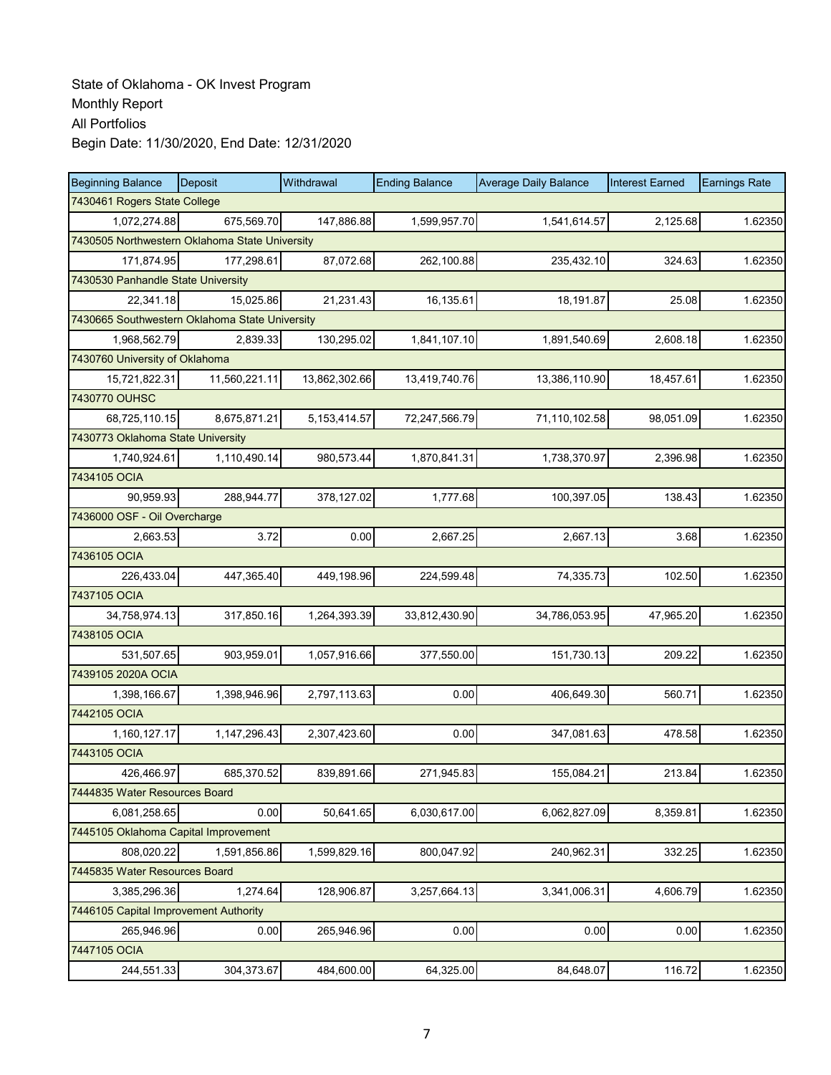| <b>Beginning Balance</b>                       | Deposit       | Withdrawal     | <b>Ending Balance</b> | <b>Average Daily Balance</b> | <b>Interest Earned</b> | <b>Earnings Rate</b> |  |  |  |
|------------------------------------------------|---------------|----------------|-----------------------|------------------------------|------------------------|----------------------|--|--|--|
| 7430461 Rogers State College                   |               |                |                       |                              |                        |                      |  |  |  |
| 1,072,274.88                                   | 675,569.70    | 147.886.88     | 1,599,957.70          | 1,541,614.57                 | 2.125.68               | 1.62350              |  |  |  |
| 7430505 Northwestern Oklahoma State University |               |                |                       |                              |                        |                      |  |  |  |
| 171,874.95                                     | 177,298.61    | 87,072.68      | 262,100.88            | 235,432.10                   | 324.63                 | 1.62350              |  |  |  |
| 7430530 Panhandle State University             |               |                |                       |                              |                        |                      |  |  |  |
| 22,341.18                                      | 15,025.86     | 21,231.43      | 16,135.61             | 18,191.87                    | 25.08                  | 1.62350              |  |  |  |
| 7430665 Southwestern Oklahoma State University |               |                |                       |                              |                        |                      |  |  |  |
| 1,968,562.79                                   | 2,839.33      | 130,295.02     | 1,841,107.10          | 1,891,540.69                 | 2,608.18               | 1.62350              |  |  |  |
| 7430760 University of Oklahoma                 |               |                |                       |                              |                        |                      |  |  |  |
| 15,721,822.31                                  | 11,560,221.11 | 13,862,302.66  | 13,419,740.76         | 13,386,110.90                | 18,457.61              | 1.62350              |  |  |  |
| 7430770 OUHSC                                  |               |                |                       |                              |                        |                      |  |  |  |
| 68,725,110.15                                  | 8,675,871.21  | 5, 153, 414.57 | 72,247,566.79         | 71,110,102.58                | 98,051.09              | 1.62350              |  |  |  |
| 7430773 Oklahoma State University              |               |                |                       |                              |                        |                      |  |  |  |
| 1,740,924.61                                   | 1,110,490.14  | 980,573.44     | 1,870,841.31          | 1,738,370.97                 | 2,396.98               | 1.62350              |  |  |  |
| 7434105 OCIA                                   |               |                |                       |                              |                        |                      |  |  |  |
| 90,959.93                                      | 288,944.77    | 378,127.02     | 1,777.68              | 100,397.05                   | 138.43                 | 1.62350              |  |  |  |
| 7436000 OSF - Oil Overcharge                   |               |                |                       |                              |                        |                      |  |  |  |
| 2,663.53                                       | 3.72          | 0.00           | 2,667.25              | 2,667.13                     | 3.68                   | 1.62350              |  |  |  |
| 7436105 OCIA                                   |               |                |                       |                              |                        |                      |  |  |  |
| 226,433.04                                     | 447,365.40    | 449,198.96     | 224,599.48            | 74,335.73                    | 102.50                 | 1.62350              |  |  |  |
| 7437105 OCIA                                   |               |                |                       |                              |                        |                      |  |  |  |
| 34,758,974.13                                  | 317,850.16    | 1,264,393.39   | 33,812,430.90         | 34,786,053.95                | 47,965.20              | 1.62350              |  |  |  |
| 7438105 OCIA                                   |               |                |                       |                              |                        |                      |  |  |  |
| 531,507.65                                     | 903,959.01    | 1,057,916.66   | 377,550.00            | 151,730.13                   | 209.22                 | 1.62350              |  |  |  |
| 7439105 2020A OCIA                             |               |                |                       |                              |                        |                      |  |  |  |
| 1,398,166.67                                   | 1,398,946.96  | 2,797,113.63   | 0.00                  | 406,649.30                   | 560.71                 | 1.62350              |  |  |  |
| 7442105 OCIA                                   |               |                |                       |                              |                        |                      |  |  |  |
| 1,160,127.17                                   | 1,147,296.43  | 2,307,423.60   | 0.00                  | 347,081.63                   | 478.58                 | 1.62350              |  |  |  |
| 7443105 OCIA                                   |               |                |                       |                              |                        |                      |  |  |  |
| 426,466.97                                     | 685.370.52    | 839,891.66     | 271.945.83            | 155,084.21                   | 213.84                 | 1.62350              |  |  |  |
| 7444835 Water Resources Board                  |               |                |                       |                              |                        |                      |  |  |  |
| 6,081,258.65                                   | 0.00          | 50,641.65      | 6,030,617.00          | 6,062,827.09                 | 8,359.81               | 1.62350              |  |  |  |
| 7445105 Oklahoma Capital Improvement           |               |                |                       |                              |                        |                      |  |  |  |
| 808,020.22                                     | 1,591,856.86  | 1,599,829.16   | 800,047.92            | 240,962.31                   | 332.25                 | 1.62350              |  |  |  |
| 7445835 Water Resources Board                  |               |                |                       |                              |                        |                      |  |  |  |
| 3,385,296.36                                   | 1,274.64      | 128,906.87     | 3,257,664.13          | 3,341,006.31                 | 4,606.79               | 1.62350              |  |  |  |
| 7446105 Capital Improvement Authority          |               |                |                       |                              |                        |                      |  |  |  |
| 265,946.96                                     | 0.00          | 265,946.96     | 0.00                  | 0.00                         | 0.00                   | 1.62350              |  |  |  |
| 7447105 OCIA                                   |               |                |                       |                              |                        |                      |  |  |  |
| 244,551.33                                     | 304,373.67    | 484,600.00     | 64,325.00             | 84,648.07                    | 116.72                 | 1.62350              |  |  |  |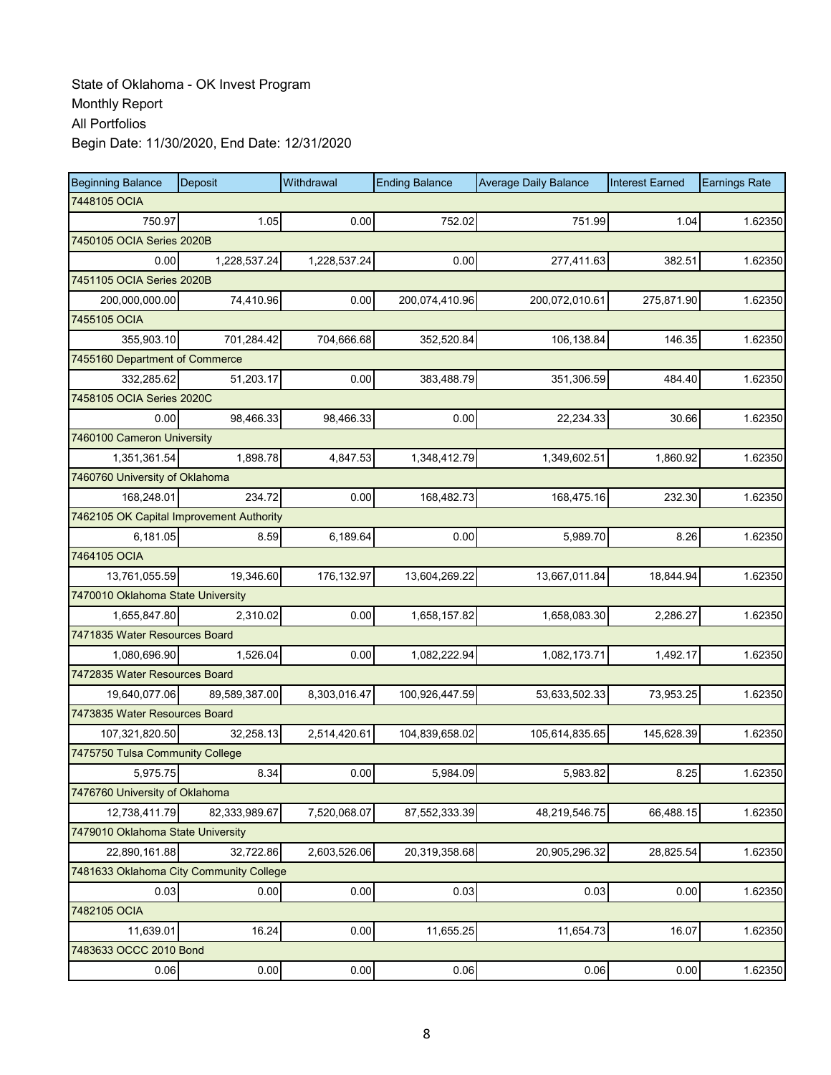| <b>Beginning Balance</b>                 | Deposit       | Withdrawal   | <b>Ending Balance</b> | <b>Average Daily Balance</b> | <b>Interest Earned</b> | <b>Earnings Rate</b> |
|------------------------------------------|---------------|--------------|-----------------------|------------------------------|------------------------|----------------------|
| 7448105 OCIA                             |               |              |                       |                              |                        |                      |
| 750.97                                   | 1.05          | 0.00         | 752.02                | 751.99                       | 1.04                   | 1.62350              |
| 7450105 OCIA Series 2020B                |               |              |                       |                              |                        |                      |
| 0.00                                     | 1,228,537.24  | 1,228,537.24 | 0.00                  | 277,411.63                   | 382.51                 | 1.62350              |
| 7451105 OCIA Series 2020B                |               |              |                       |                              |                        |                      |
| 200,000,000.00                           | 74,410.96     | 0.00         | 200,074,410.96        | 200,072,010.61               | 275,871.90             | 1.62350              |
| 7455105 OCIA                             |               |              |                       |                              |                        |                      |
| 355,903.10                               | 701,284.42    | 704,666.68   | 352,520.84            | 106,138.84                   | 146.35                 | 1.62350              |
| 7455160 Department of Commerce           |               |              |                       |                              |                        |                      |
| 332,285.62                               | 51,203.17     | 0.00         | 383,488.79            | 351,306.59                   | 484.40                 | 1.62350              |
| 7458105 OCIA Series 2020C                |               |              |                       |                              |                        |                      |
| 0.00                                     | 98,466.33     | 98,466.33    | 0.00                  | 22,234.33                    | 30.66                  | 1.62350              |
| 7460100 Cameron University               |               |              |                       |                              |                        |                      |
| 1,351,361.54                             | 1,898.78      | 4,847.53     | 1,348,412.79          | 1,349,602.51                 | 1,860.92               | 1.62350              |
| 7460760 University of Oklahoma           |               |              |                       |                              |                        |                      |
| 168,248.01                               | 234.72        | 0.00         | 168,482.73            | 168,475.16                   | 232.30                 | 1.62350              |
| 7462105 OK Capital Improvement Authority |               |              |                       |                              |                        |                      |
| 6,181.05                                 | 8.59          | 6,189.64     | 0.00                  | 5,989.70                     | 8.26                   | 1.62350              |
| 7464105 OCIA                             |               |              |                       |                              |                        |                      |
| 13,761,055.59                            | 19,346.60     | 176,132.97   | 13,604,269.22         | 13,667,011.84                | 18,844.94              | 1.62350              |
| 7470010 Oklahoma State University        |               |              |                       |                              |                        |                      |
| 1,655,847.80                             | 2,310.02      | 0.00         | 1,658,157.82          | 1,658,083.30                 | 2,286.27               | 1.62350              |
| 7471835 Water Resources Board            |               |              |                       |                              |                        |                      |
| 1,080,696.90                             | 1,526.04      | 0.00         | 1,082,222.94          | 1,082,173.71                 | 1,492.17               | 1.62350              |
| 7472835 Water Resources Board            |               |              |                       |                              |                        |                      |
| 19,640,077.06                            | 89,589,387.00 | 8,303,016.47 | 100,926,447.59        | 53,633,502.33                | 73,953.25              | 1.62350              |
| 7473835 Water Resources Board            |               |              |                       |                              |                        |                      |
| 107,321,820.50                           | 32,258.13     | 2,514,420.61 | 104,839,658.02        | 105,614,835.65               | 145,628.39             | 1.62350              |
| 7475750 Tulsa Community College          |               |              |                       |                              |                        |                      |
| 5,975.75                                 | 8.34          | 0.00         | 5,984.09              | 5,983.82                     | 8.25                   | 1.62350              |
| 7476760 University of Oklahoma           |               |              |                       |                              |                        |                      |
| 12,738,411.79                            | 82,333,989.67 | 7,520,068.07 | 87,552,333.39         | 48,219,546.75                | 66,488.15              | 1.62350              |
| 7479010 Oklahoma State University        |               |              |                       |                              |                        |                      |
| 22,890,161.88                            | 32,722.86     | 2,603,526.06 | 20,319,358.68         | 20,905,296.32                | 28,825.54              | 1.62350              |
| 7481633 Oklahoma City Community College  |               |              |                       |                              |                        |                      |
| 0.03                                     | 0.00          | 0.00         | 0.03                  | 0.03                         | 0.00                   | 1.62350              |
| 7482105 OCIA                             |               |              |                       |                              |                        |                      |
| 11,639.01                                | 16.24         | 0.00         | 11,655.25             | 11.654.73                    | 16.07                  | 1.62350              |
| 7483633 OCCC 2010 Bond                   |               |              |                       |                              |                        |                      |
| 0.06                                     | 0.00          | 0.00         | 0.06                  | 0.06                         | 0.00                   | 1.62350              |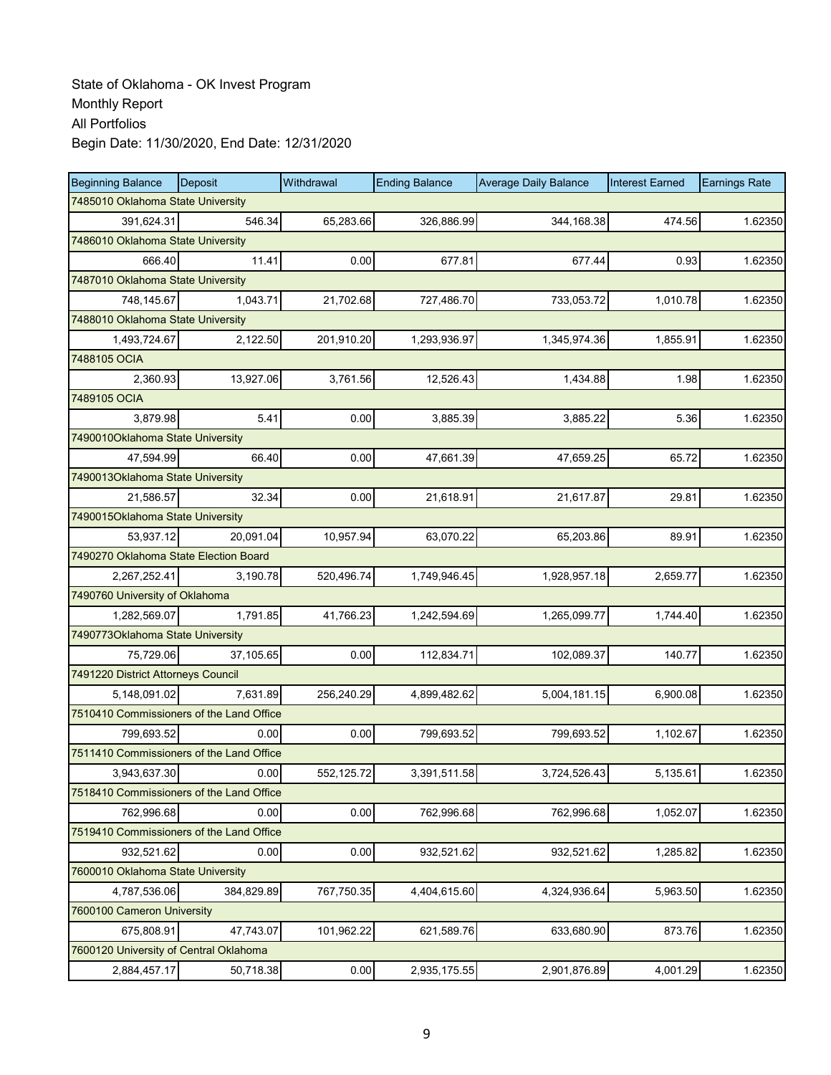| <b>Beginning Balance</b>                 | Deposit    | Withdrawal | <b>Ending Balance</b> | <b>Average Daily Balance</b> | <b>Interest Earned</b> | <b>Earnings Rate</b> |
|------------------------------------------|------------|------------|-----------------------|------------------------------|------------------------|----------------------|
| 7485010 Oklahoma State University        |            |            |                       |                              |                        |                      |
| 391,624.31                               | 546.34     | 65,283.66  | 326,886.99            | 344,168.38                   | 474.56                 | 1.62350              |
| 7486010 Oklahoma State University        |            |            |                       |                              |                        |                      |
| 666.40                                   | 11.41      | 0.00       | 677.81                | 677.44                       | 0.93                   | 1.62350              |
| 7487010 Oklahoma State University        |            |            |                       |                              |                        |                      |
| 748,145.67                               | 1,043.71   | 21,702.68  | 727,486.70            | 733,053.72                   | 1,010.78               | 1.62350              |
| 7488010 Oklahoma State University        |            |            |                       |                              |                        |                      |
| 1,493,724.67                             | 2,122.50   | 201,910.20 | 1,293,936.97          | 1,345,974.36                 | 1,855.91               | 1.62350              |
| 7488105 OCIA                             |            |            |                       |                              |                        |                      |
| 2,360.93                                 | 13,927.06  | 3,761.56   | 12,526.43             | 1,434.88                     | 1.98                   | 1.62350              |
| 7489105 OCIA                             |            |            |                       |                              |                        |                      |
| 3,879.98                                 | 5.41       | 0.00       | 3,885.39              | 3,885.22                     | 5.36                   | 1.62350              |
| 7490010Oklahoma State University         |            |            |                       |                              |                        |                      |
| 47,594.99                                | 66.40      | 0.00       | 47,661.39             | 47,659.25                    | 65.72                  | 1.62350              |
| 7490013Oklahoma State University         |            |            |                       |                              |                        |                      |
| 21,586.57                                | 32.34      | 0.00       | 21,618.91             | 21,617.87                    | 29.81                  | 1.62350              |
| 7490015Oklahoma State University         |            |            |                       |                              |                        |                      |
| 53,937.12                                | 20,091.04  | 10,957.94  | 63,070.22             | 65,203.86                    | 89.91                  | 1.62350              |
| 7490270 Oklahoma State Election Board    |            |            |                       |                              |                        |                      |
| 2,267,252.41                             | 3,190.78   | 520,496.74 | 1,749,946.45          | 1,928,957.18                 | 2,659.77               | 1.62350              |
| 7490760 University of Oklahoma           |            |            |                       |                              |                        |                      |
| 1,282,569.07                             | 1,791.85   | 41,766.23  | 1,242,594.69          | 1,265,099.77                 | 1,744.40               | 1.62350              |
| 7490773Oklahoma State University         |            |            |                       |                              |                        |                      |
| 75,729.06                                | 37,105.65  | 0.00       | 112,834.71            | 102,089.37                   | 140.77                 | 1.62350              |
| 7491220 District Attorneys Council       |            |            |                       |                              |                        |                      |
| 5,148,091.02                             | 7,631.89   | 256,240.29 | 4,899,482.62          | 5,004,181.15                 | 6,900.08               | 1.62350              |
| 7510410 Commissioners of the Land Office |            |            |                       |                              |                        |                      |
| 799,693.52                               | 0.00       | 0.00       | 799,693.52            | 799,693.52                   | 1,102.67               | 1.62350              |
| 7511410 Commissioners of the Land Office |            |            |                       |                              |                        |                      |
| 3,943,637.30                             | 0.00       | 552,125.72 | 3,391,511.58          | 3,724,526.43                 | 5,135.61               | 1.62350              |
| 7518410 Commissioners of the Land Office |            |            |                       |                              |                        |                      |
| 762,996.68                               | 0.00       | 0.00       | 762,996.68            | 762,996.68                   | 1,052.07               | 1.62350              |
| 7519410 Commissioners of the Land Office |            |            |                       |                              |                        |                      |
| 932,521.62                               | 0.00       | 0.00       | 932,521.62            | 932,521.62                   | 1,285.82               | 1.62350              |
| 7600010 Oklahoma State University        |            |            |                       |                              |                        |                      |
| 4,787,536.06                             | 384,829.89 | 767,750.35 | 4,404,615.60          | 4,324,936.64                 | 5,963.50               | 1.62350              |
| 7600100 Cameron University               |            |            |                       |                              |                        |                      |
| 675,808.91                               | 47,743.07  | 101,962.22 | 621,589.76            | 633,680.90                   | 873.76                 | 1.62350              |
| 7600120 University of Central Oklahoma   |            |            |                       |                              |                        |                      |
| 2,884,457.17                             | 50,718.38  | 0.00       | 2,935,175.55          | 2,901,876.89                 | 4,001.29               | 1.62350              |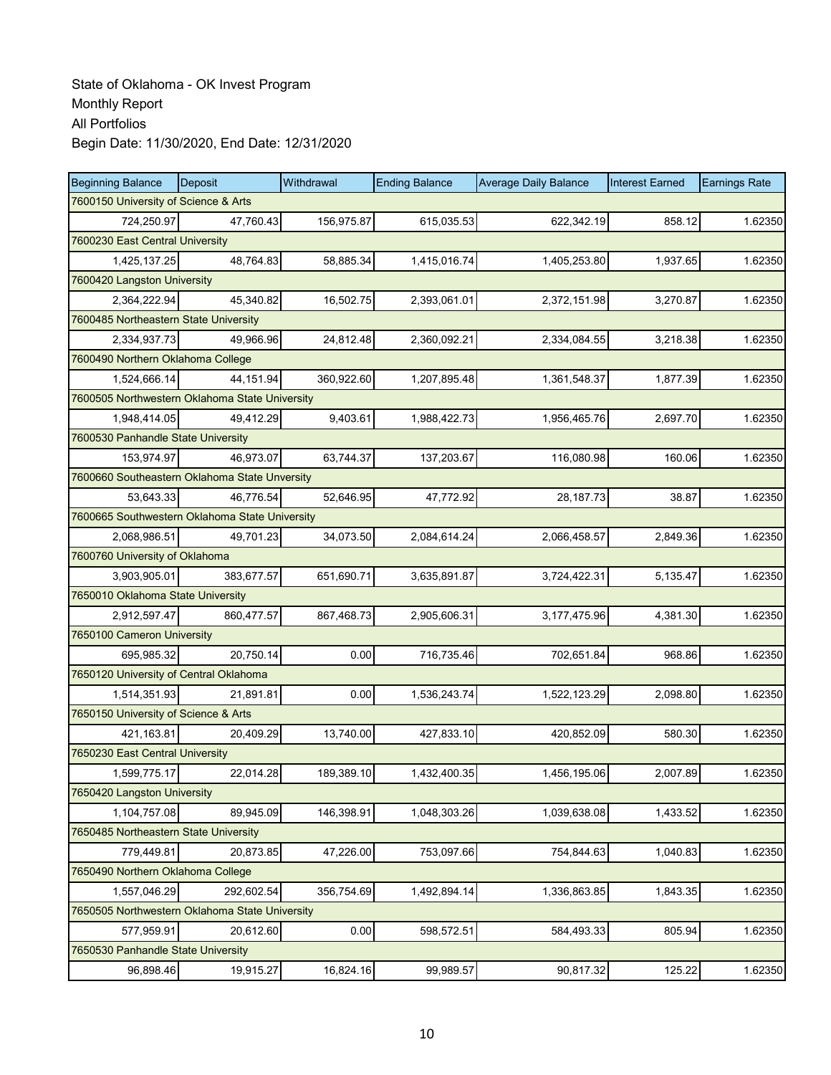| <b>Beginning Balance</b>                       | Deposit    | Withdrawal | <b>Ending Balance</b> | <b>Average Daily Balance</b> | <b>Interest Earned</b> | <b>Earnings Rate</b> |
|------------------------------------------------|------------|------------|-----------------------|------------------------------|------------------------|----------------------|
| 7600150 University of Science & Arts           |            |            |                       |                              |                        |                      |
| 724,250.97                                     | 47,760.43  | 156,975.87 | 615,035.53            | 622.342.19                   | 858.12                 | 1.62350              |
| 7600230 East Central University                |            |            |                       |                              |                        |                      |
| 1,425,137.25                                   | 48,764.83  | 58,885.34  | 1,415,016.74          | 1,405,253.80                 | 1,937.65               | 1.62350              |
| 7600420 Langston University                    |            |            |                       |                              |                        |                      |
| 2,364,222.94                                   | 45,340.82  | 16,502.75  | 2,393,061.01          | 2,372,151.98                 | 3,270.87               | 1.62350              |
| 7600485 Northeastern State University          |            |            |                       |                              |                        |                      |
| 2,334,937.73                                   | 49,966.96  | 24,812.48  | 2,360,092.21          | 2,334,084.55                 | 3,218.38               | 1.62350              |
| 7600490 Northern Oklahoma College              |            |            |                       |                              |                        |                      |
| 1,524,666.14                                   | 44,151.94  | 360,922.60 | 1,207,895.48          | 1,361,548.37                 | 1,877.39               | 1.62350              |
| 7600505 Northwestern Oklahoma State University |            |            |                       |                              |                        |                      |
| 1,948,414.05                                   | 49,412.29  | 9,403.61   | 1,988,422.73          | 1,956,465.76                 | 2,697.70               | 1.62350              |
| 7600530 Panhandle State University             |            |            |                       |                              |                        |                      |
| 153,974.97                                     | 46,973.07  | 63,744.37  | 137,203.67            | 116,080.98                   | 160.06                 | 1.62350              |
| 7600660 Southeastern Oklahoma State Unversity  |            |            |                       |                              |                        |                      |
| 53,643.33                                      | 46,776.54  | 52,646.95  | 47,772.92             | 28, 187. 73                  | 38.87                  | 1.62350              |
| 7600665 Southwestern Oklahoma State University |            |            |                       |                              |                        |                      |
| 2,068,986.51                                   | 49.701.23  | 34,073.50  | 2,084,614.24          | 2,066,458.57                 | 2,849.36               | 1.62350              |
| 7600760 University of Oklahoma                 |            |            |                       |                              |                        |                      |
| 3,903,905.01                                   | 383,677.57 | 651,690.71 | 3,635,891.87          | 3,724,422.31                 | 5,135.47               | 1.62350              |
| 7650010 Oklahoma State University              |            |            |                       |                              |                        |                      |
| 2,912,597.47                                   | 860,477.57 | 867,468.73 | 2,905,606.31          | 3,177,475.96                 | 4,381.30               | 1.62350              |
| 7650100 Cameron University                     |            |            |                       |                              |                        |                      |
| 695,985.32                                     | 20,750.14  | 0.00       | 716,735.46            | 702,651.84                   | 968.86                 | 1.62350              |
| 7650120 University of Central Oklahoma         |            |            |                       |                              |                        |                      |
| 1,514,351.93                                   | 21,891.81  | 0.00       | 1,536,243.74          | 1,522,123.29                 | 2,098.80               | 1.62350              |
| 7650150 University of Science & Arts           |            |            |                       |                              |                        |                      |
| 421,163.81                                     | 20,409.29  | 13,740.00  | 427,833.10            | 420,852.09                   | 580.30                 | 1.62350              |
| 7650230 East Central University                |            |            |                       |                              |                        |                      |
| 1,599,775.17                                   | 22,014.28  | 189,389.10 | 1,432,400.35          | 1.456.195.06                 | 2,007.89               | 1.62350              |
| 7650420 Langston University                    |            |            |                       |                              |                        |                      |
| 1,104,757.08                                   | 89,945.09  | 146,398.91 | 1,048,303.26          | 1,039,638.08                 | 1,433.52               | 1.62350              |
| 7650485 Northeastern State University          |            |            |                       |                              |                        |                      |
| 779,449.81                                     | 20,873.85  | 47,226.00  | 753,097.66            | 754,844.63                   | 1,040.83               | 1.62350              |
| 7650490 Northern Oklahoma College              |            |            |                       |                              |                        |                      |
| 1,557,046.29                                   | 292,602.54 | 356,754.69 | 1,492,894.14          | 1,336,863.85                 | 1,843.35               | 1.62350              |
| 7650505 Northwestern Oklahoma State University |            |            |                       |                              |                        |                      |
| 577,959.91                                     | 20,612.60  | 0.00       | 598,572.51            | 584,493.33                   | 805.94                 | 1.62350              |
| 7650530 Panhandle State University             |            |            |                       |                              |                        |                      |
| 96,898.46                                      | 19,915.27  | 16,824.16  | 99,989.57             | 90,817.32                    | 125.22                 | 1.62350              |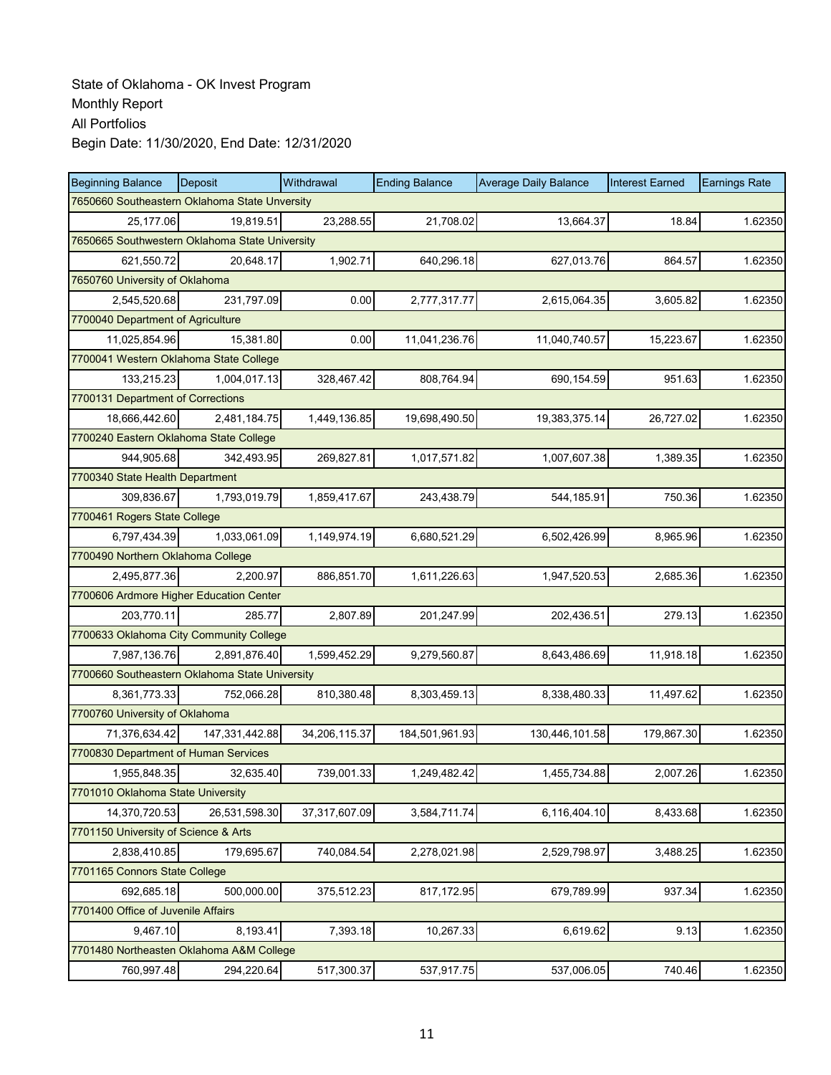| <b>Beginning Balance</b>                       | Deposit        | Withdrawal    | <b>Ending Balance</b> | <b>Average Daily Balance</b> | <b>Interest Earned</b> | <b>Earnings Rate</b> |  |  |  |
|------------------------------------------------|----------------|---------------|-----------------------|------------------------------|------------------------|----------------------|--|--|--|
| 7650660 Southeastern Oklahoma State Unversity  |                |               |                       |                              |                        |                      |  |  |  |
| 25,177.06                                      | 19.819.51      | 23,288.55     | 21,708.02             | 13,664.37                    | 18.84                  | 1.62350              |  |  |  |
| 7650665 Southwestern Oklahoma State University |                |               |                       |                              |                        |                      |  |  |  |
| 621,550.72                                     | 20,648.17      | 1,902.71      | 640,296.18            | 627,013.76                   | 864.57                 | 1.62350              |  |  |  |
| 7650760 University of Oklahoma                 |                |               |                       |                              |                        |                      |  |  |  |
| 2,545,520.68                                   | 231,797.09     | 0.00          | 2,777,317.77          | 2,615,064.35                 | 3,605.82               | 1.62350              |  |  |  |
| 7700040 Department of Agriculture              |                |               |                       |                              |                        |                      |  |  |  |
| 11,025,854.96                                  | 15,381.80      | 0.00          | 11,041,236.76         | 11,040,740.57                | 15,223.67              | 1.62350              |  |  |  |
| 7700041 Western Oklahoma State College         |                |               |                       |                              |                        |                      |  |  |  |
| 133,215.23                                     | 1,004,017.13   | 328,467.42    | 808,764.94            | 690, 154.59                  | 951.63                 | 1.62350              |  |  |  |
| 7700131 Department of Corrections              |                |               |                       |                              |                        |                      |  |  |  |
| 18,666,442.60                                  | 2,481,184.75   | 1,449,136.85  | 19,698,490.50         | 19,383,375.14                | 26,727.02              | 1.62350              |  |  |  |
| 7700240 Eastern Oklahoma State College         |                |               |                       |                              |                        |                      |  |  |  |
| 944.905.68                                     | 342,493.95     | 269,827.81    | 1,017,571.82          | 1,007,607.38                 | 1,389.35               | 1.62350              |  |  |  |
| 7700340 State Health Department                |                |               |                       |                              |                        |                      |  |  |  |
| 309,836.67                                     | 1,793,019.79   | 1,859,417.67  | 243,438.79            | 544,185.91                   | 750.36                 | 1.62350              |  |  |  |
| 7700461 Rogers State College                   |                |               |                       |                              |                        |                      |  |  |  |
| 6,797,434.39                                   | 1,033,061.09   | 1,149,974.19  | 6,680,521.29          | 6,502,426.99                 | 8,965.96               | 1.62350              |  |  |  |
| 7700490 Northern Oklahoma College              |                |               |                       |                              |                        |                      |  |  |  |
| 2,495,877.36                                   | 2,200.97       | 886,851.70    | 1,611,226.63          | 1,947,520.53                 | 2,685.36               | 1.62350              |  |  |  |
| 7700606 Ardmore Higher Education Center        |                |               |                       |                              |                        |                      |  |  |  |
| 203,770.11                                     | 285.77         | 2,807.89      | 201,247.99            | 202,436.51                   | 279.13                 | 1.62350              |  |  |  |
| 7700633 Oklahoma City Community College        |                |               |                       |                              |                        |                      |  |  |  |
| 7,987,136.76                                   | 2,891,876.40   | 1,599,452.29  | 9,279,560.87          | 8,643,486.69                 | 11,918.18              | 1.62350              |  |  |  |
| 7700660 Southeastern Oklahoma State University |                |               |                       |                              |                        |                      |  |  |  |
| 8,361,773.33                                   | 752,066.28     | 810,380.48    | 8,303,459.13          | 8,338,480.33                 | 11,497.62              | 1.62350              |  |  |  |
| 7700760 University of Oklahoma                 |                |               |                       |                              |                        |                      |  |  |  |
| 71,376,634.42                                  | 147,331,442.88 | 34,206,115.37 | 184,501,961.93        | 130,446,101.58               | 179,867.30             | 1.62350              |  |  |  |
| 7700830 Department of Human Services           |                |               |                       |                              |                        |                      |  |  |  |
| 1,955,848.35                                   | 32,635.40      | 739,001.33    | 1,249,482.42          | 1.455.734.88                 | 2,007.26               | 1.62350              |  |  |  |
| 7701010 Oklahoma State University              |                |               |                       |                              |                        |                      |  |  |  |
| 14,370,720.53                                  | 26,531,598.30  | 37,317,607.09 | 3,584,711.74          | 6,116,404.10                 | 8,433.68               | 1.62350              |  |  |  |
| 7701150 University of Science & Arts           |                |               |                       |                              |                        |                      |  |  |  |
| 2,838,410.85                                   | 179,695.67     | 740,084.54    | 2,278,021.98          | 2,529,798.97                 | 3,488.25               | 1.62350              |  |  |  |
| 7701165 Connors State College                  |                |               |                       |                              |                        |                      |  |  |  |
| 692,685.18                                     | 500,000.00     | 375,512.23    | 817,172.95            | 679,789.99                   | 937.34                 | 1.62350              |  |  |  |
| 7701400 Office of Juvenile Affairs             |                |               |                       |                              |                        |                      |  |  |  |
| 9,467.10                                       | 8,193.41       | 7,393.18      | 10,267.33             | 6,619.62                     | 9.13                   | 1.62350              |  |  |  |
| 7701480 Northeasten Oklahoma A&M College       |                |               |                       |                              |                        |                      |  |  |  |
| 760,997.48                                     | 294,220.64     | 517,300.37    | 537,917.75            | 537,006.05                   | 740.46                 | 1.62350              |  |  |  |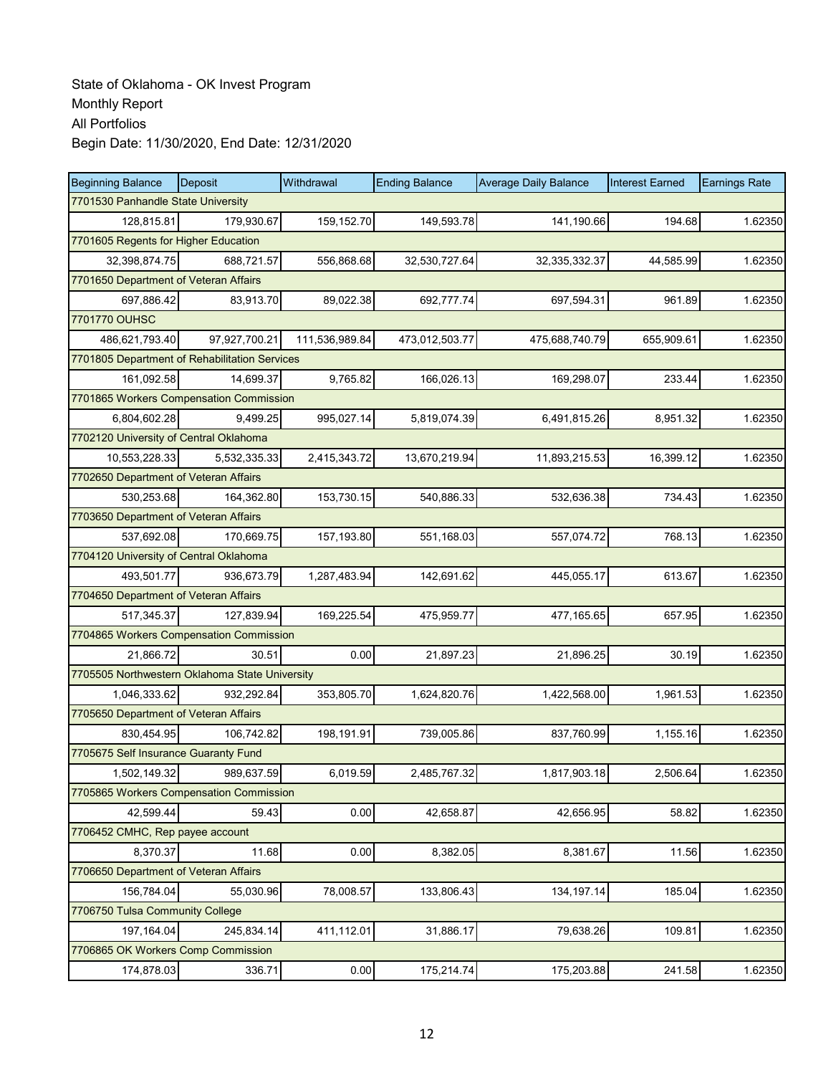| <b>Beginning Balance</b>                       | Deposit       | Withdrawal     | <b>Ending Balance</b> | <b>Average Daily Balance</b> | <b>Interest Earned</b> | <b>Earnings Rate</b> |
|------------------------------------------------|---------------|----------------|-----------------------|------------------------------|------------------------|----------------------|
| 7701530 Panhandle State University             |               |                |                       |                              |                        |                      |
| 128,815.81                                     | 179,930.67    | 159,152.70     | 149,593.78            | 141,190.66                   | 194.68                 | 1.62350              |
| 7701605 Regents for Higher Education           |               |                |                       |                              |                        |                      |
| 32,398,874.75                                  | 688,721.57    | 556,868.68     | 32,530,727.64         | 32,335,332.37                | 44,585.99              | 1.62350              |
| 7701650 Department of Veteran Affairs          |               |                |                       |                              |                        |                      |
| 697,886.42                                     | 83,913.70     | 89,022.38      | 692,777.74            | 697,594.31                   | 961.89                 | 1.62350              |
| 7701770 OUHSC                                  |               |                |                       |                              |                        |                      |
| 486,621,793.40                                 | 97,927,700.21 | 111,536,989.84 | 473,012,503.77        | 475,688,740.79               | 655,909.61             | 1.62350              |
| 7701805 Department of Rehabilitation Services  |               |                |                       |                              |                        |                      |
| 161,092.58                                     | 14,699.37     | 9,765.82       | 166,026.13            | 169,298.07                   | 233.44                 | 1.62350              |
| 7701865 Workers Compensation Commission        |               |                |                       |                              |                        |                      |
| 6,804,602.28                                   | 9,499.25      | 995,027.14     | 5,819,074.39          | 6,491,815.26                 | 8,951.32               | 1.62350              |
| 7702120 University of Central Oklahoma         |               |                |                       |                              |                        |                      |
| 10,553,228.33                                  | 5,532,335.33  | 2,415,343.72   | 13,670,219.94         | 11,893,215.53                | 16,399.12              | 1.62350              |
| 7702650 Department of Veteran Affairs          |               |                |                       |                              |                        |                      |
| 530,253.68                                     | 164,362.80    | 153,730.15     | 540,886.33            | 532,636.38                   | 734.43                 | 1.62350              |
| 7703650 Department of Veteran Affairs          |               |                |                       |                              |                        |                      |
| 537,692.08                                     | 170,669.75    | 157,193.80     | 551,168.03            | 557,074.72                   | 768.13                 | 1.62350              |
| 7704120 University of Central Oklahoma         |               |                |                       |                              |                        |                      |
| 493,501.77                                     | 936,673.79    | 1,287,483.94   | 142,691.62            | 445,055.17                   | 613.67                 | 1.62350              |
| 7704650 Department of Veteran Affairs          |               |                |                       |                              |                        |                      |
| 517,345.37                                     | 127,839.94    | 169,225.54     | 475,959.77            | 477, 165.65                  | 657.95                 | 1.62350              |
| 7704865 Workers Compensation Commission        |               |                |                       |                              |                        |                      |
| 21,866.72                                      | 30.51         | 0.00           | 21,897.23             | 21,896.25                    | 30.19                  | 1.62350              |
| 7705505 Northwestern Oklahoma State University |               |                |                       |                              |                        |                      |
| 1,046,333.62                                   | 932,292.84    | 353,805.70     | 1,624,820.76          | 1,422,568.00                 | 1,961.53               | 1.62350              |
| 7705650 Department of Veteran Affairs          |               |                |                       |                              |                        |                      |
| 830,454.95                                     | 106,742.82    | 198,191.91     | 739,005.86            | 837,760.99                   | 1,155.16               | 1.62350              |
| 7705675 Self Insurance Guaranty Fund           |               |                |                       |                              |                        |                      |
| 1,502,149.32                                   | 989,637.59    | 6,019.59       | 2,485,767.32          | 1,817,903.18                 | 2,506.64               | 1.62350              |
| 7705865 Workers Compensation Commission        |               |                |                       |                              |                        |                      |
| 42,599.44                                      | 59.43         | 0.00           | 42,658.87             | 42,656.95                    | 58.82                  | 1.62350              |
| 7706452 CMHC, Rep payee account                |               |                |                       |                              |                        |                      |
| 8,370.37                                       | 11.68         | 0.00           | 8,382.05              | 8,381.67                     | 11.56                  | 1.62350              |
| 7706650 Department of Veteran Affairs          |               |                |                       |                              |                        |                      |
| 156,784.04                                     | 55,030.96     | 78,008.57      | 133,806.43            | 134, 197. 14                 | 185.04                 | 1.62350              |
| 7706750 Tulsa Community College                |               |                |                       |                              |                        |                      |
| 197,164.04                                     | 245,834.14    | 411,112.01     | 31,886.17             | 79,638.26                    | 109.81                 | 1.62350              |
| 7706865 OK Workers Comp Commission             |               |                |                       |                              |                        |                      |
| 174,878.03                                     | 336.71        | 0.00           | 175,214.74            | 175,203.88                   | 241.58                 | 1.62350              |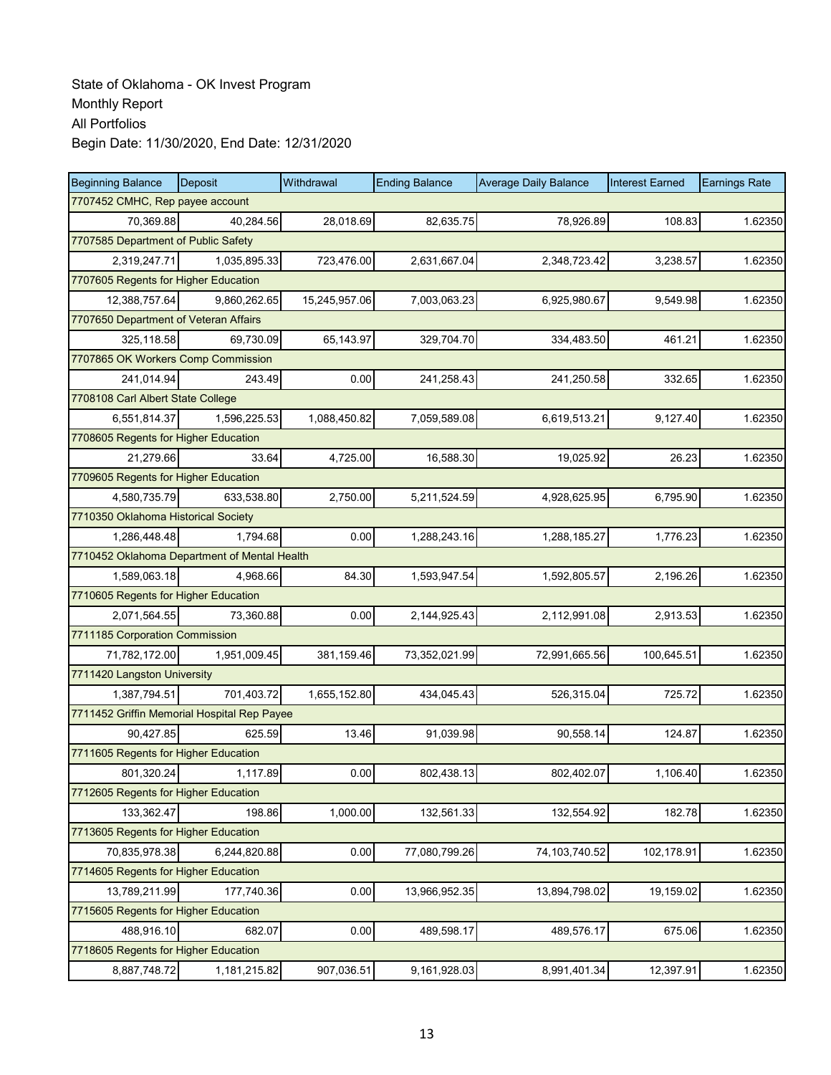| <b>Beginning Balance</b>                     | Deposit      | Withdrawal    | <b>Ending Balance</b> | <b>Average Daily Balance</b> | <b>Interest Earned</b> | <b>Earnings Rate</b> |  |
|----------------------------------------------|--------------|---------------|-----------------------|------------------------------|------------------------|----------------------|--|
| 7707452 CMHC, Rep payee account              |              |               |                       |                              |                        |                      |  |
| 70,369.88                                    | 40,284.56    | 28,018.69     | 82,635.75             | 78,926.89                    | 108.83                 | 1.62350              |  |
| 7707585 Department of Public Safety          |              |               |                       |                              |                        |                      |  |
| 2,319,247.71                                 | 1.035.895.33 | 723,476.00    | 2,631,667.04          | 2,348,723.42                 | 3,238.57               | 1.62350              |  |
| 7707605 Regents for Higher Education         |              |               |                       |                              |                        |                      |  |
| 12,388,757.64                                | 9,860,262.65 | 15,245,957.06 | 7,003,063.23          | 6,925,980.67                 | 9,549.98               | 1.62350              |  |
| 7707650 Department of Veteran Affairs        |              |               |                       |                              |                        |                      |  |
| 325,118.58                                   | 69,730.09    | 65,143.97     | 329,704.70            | 334,483.50                   | 461.21                 | 1.62350              |  |
| 7707865 OK Workers Comp Commission           |              |               |                       |                              |                        |                      |  |
| 241,014.94                                   | 243.49       | 0.00          | 241,258.43            | 241,250.58                   | 332.65                 | 1.62350              |  |
| 7708108 Carl Albert State College            |              |               |                       |                              |                        |                      |  |
| 6,551,814.37                                 | 1,596,225.53 | 1,088,450.82  | 7,059,589.08          | 6,619,513.21                 | 9,127.40               | 1.62350              |  |
| 7708605 Regents for Higher Education         |              |               |                       |                              |                        |                      |  |
| 21,279.66                                    | 33.64        | 4,725.00      | 16,588.30             | 19,025.92                    | 26.23                  | 1.62350              |  |
| 7709605 Regents for Higher Education         |              |               |                       |                              |                        |                      |  |
| 4,580,735.79                                 | 633,538.80   | 2,750.00      | 5,211,524.59          | 4,928,625.95                 | 6,795.90               | 1.62350              |  |
| 7710350 Oklahoma Historical Society          |              |               |                       |                              |                        |                      |  |
| 1,286,448.48                                 | 1,794.68     | 0.00          | 1,288,243.16          | 1,288,185.27                 | 1,776.23               | 1.62350              |  |
| 7710452 Oklahoma Department of Mental Health |              |               |                       |                              |                        |                      |  |
| 1,589,063.18                                 | 4,968.66     | 84.30         | 1,593,947.54          | 1,592,805.57                 | 2,196.26               | 1.62350              |  |
| 7710605 Regents for Higher Education         |              |               |                       |                              |                        |                      |  |
| 2,071,564.55                                 | 73,360.88    | 0.00          | 2,144,925.43          | 2,112,991.08                 | 2,913.53               | 1.62350              |  |
| 7711185 Corporation Commission               |              |               |                       |                              |                        |                      |  |
| 71,782,172.00                                | 1,951,009.45 | 381,159.46    | 73,352,021.99         | 72,991,665.56                | 100,645.51             | 1.62350              |  |
| 7711420 Langston University                  |              |               |                       |                              |                        |                      |  |
| 1,387,794.51                                 | 701,403.72   | 1,655,152.80  | 434,045.43            | 526,315.04                   | 725.72                 | 1.62350              |  |
| 7711452 Griffin Memorial Hospital Rep Payee  |              |               |                       |                              |                        |                      |  |
| 90,427.85                                    | 625.59       | 13.46         | 91,039.98             | 90,558.14                    | 124.87                 | 1.62350              |  |
| 7711605 Regents for Higher Education         |              |               |                       |                              |                        |                      |  |
| 801,320.24                                   | 1,117.89     | 0.00          | 802,438.13            | 802,402.07                   | 1,106.40               | 1.62350              |  |
| 7712605 Regents for Higher Education         |              |               |                       |                              |                        |                      |  |
| 133,362.47                                   | 198.86       | 1,000.00      | 132,561.33            | 132,554.92                   | 182.78                 | 1.62350              |  |
| 7713605 Regents for Higher Education         |              |               |                       |                              |                        |                      |  |
| 70,835,978.38                                | 6,244,820.88 | 0.00          | 77,080,799.26         | 74,103,740.52                | 102,178.91             | 1.62350              |  |
| 7714605 Regents for Higher Education         |              |               |                       |                              |                        |                      |  |
| 13,789,211.99                                | 177,740.36   | 0.00          | 13,966,952.35         | 13,894,798.02                | 19,159.02              | 1.62350              |  |
| 7715605 Regents for Higher Education         |              |               |                       |                              |                        |                      |  |
| 488,916.10                                   | 682.07       | 0.00          | 489,598.17            | 489,576.17                   | 675.06                 | 1.62350              |  |
| 7718605 Regents for Higher Education         |              |               |                       |                              |                        |                      |  |
| 8,887,748.72                                 | 1,181,215.82 | 907,036.51    | 9,161,928.03          | 8,991,401.34                 | 12,397.91              | 1.62350              |  |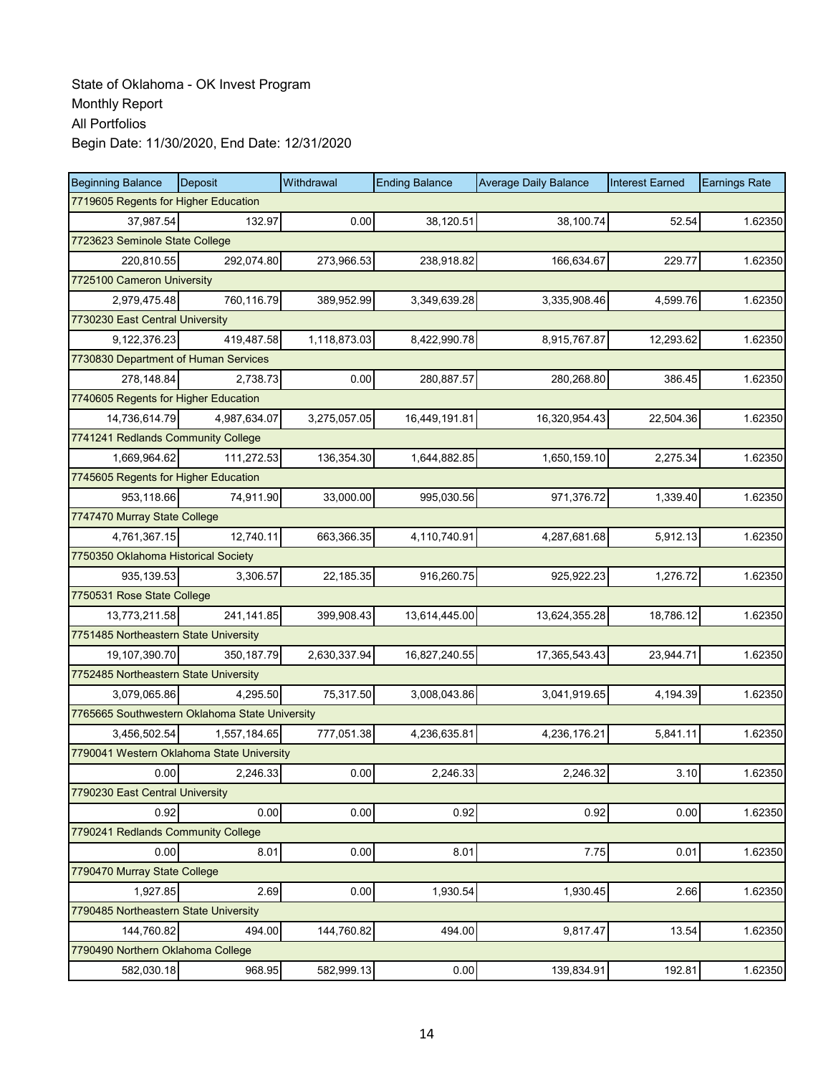| <b>Beginning Balance</b>                       | Deposit      | Withdrawal   | <b>Ending Balance</b> | <b>Average Daily Balance</b> | <b>Interest Earned</b> | <b>Earnings Rate</b> |  |  |
|------------------------------------------------|--------------|--------------|-----------------------|------------------------------|------------------------|----------------------|--|--|
| 7719605 Regents for Higher Education           |              |              |                       |                              |                        |                      |  |  |
| 37,987.54                                      | 132.97       | 0.00         | 38,120.51             | 38,100.74                    | 52.54                  | 1.62350              |  |  |
| 7723623 Seminole State College                 |              |              |                       |                              |                        |                      |  |  |
| 220,810.55                                     | 292,074.80   | 273,966.53   | 238,918.82            | 166,634.67                   | 229.77                 | 1.62350              |  |  |
| 7725100 Cameron University                     |              |              |                       |                              |                        |                      |  |  |
| 2,979,475.48                                   | 760,116.79   | 389,952.99   | 3,349,639.28          | 3,335,908.46                 | 4,599.76               | 1.62350              |  |  |
| 7730230 East Central University                |              |              |                       |                              |                        |                      |  |  |
| 9,122,376.23                                   | 419,487.58   | 1,118,873.03 | 8,422,990.78          | 8,915,767.87                 | 12,293.62              | 1.62350              |  |  |
| 7730830 Department of Human Services           |              |              |                       |                              |                        |                      |  |  |
| 278,148.84                                     | 2,738.73     | 0.00         | 280,887.57            | 280,268.80                   | 386.45                 | 1.62350              |  |  |
| 7740605 Regents for Higher Education           |              |              |                       |                              |                        |                      |  |  |
| 14,736,614.79                                  | 4,987,634.07 | 3,275,057.05 | 16,449,191.81         | 16,320,954.43                | 22,504.36              | 1.62350              |  |  |
| 7741241 Redlands Community College             |              |              |                       |                              |                        |                      |  |  |
| 1,669,964.62                                   | 111,272.53   | 136,354.30   | 1,644,882.85          | 1,650,159.10                 | 2,275.34               | 1.62350              |  |  |
| 7745605 Regents for Higher Education           |              |              |                       |                              |                        |                      |  |  |
| 953,118.66                                     | 74,911.90    | 33,000.00    | 995,030.56            | 971,376.72                   | 1,339.40               | 1.62350              |  |  |
| 7747470 Murray State College                   |              |              |                       |                              |                        |                      |  |  |
| 4,761,367.15                                   | 12,740.11    | 663,366.35   | 4,110,740.91          | 4,287,681.68                 | 5,912.13               | 1.62350              |  |  |
| 7750350 Oklahoma Historical Society            |              |              |                       |                              |                        |                      |  |  |
| 935,139.53                                     | 3,306.57     | 22,185.35    | 916,260.75            | 925,922.23                   | 1,276.72               | 1.62350              |  |  |
| 7750531 Rose State College                     |              |              |                       |                              |                        |                      |  |  |
| 13,773,211.58                                  | 241,141.85   | 399,908.43   | 13,614,445.00         | 13,624,355.28                | 18,786.12              | 1.62350              |  |  |
| 7751485 Northeastern State University          |              |              |                       |                              |                        |                      |  |  |
| 19,107,390.70                                  | 350, 187.79  | 2,630,337.94 | 16,827,240.55         | 17,365,543.43                | 23,944.71              | 1.62350              |  |  |
| 7752485 Northeastern State University          |              |              |                       |                              |                        |                      |  |  |
| 3,079,065.86                                   | 4,295.50     | 75,317.50    | 3,008,043.86          | 3,041,919.65                 | 4,194.39               | 1.62350              |  |  |
| 7765665 Southwestern Oklahoma State University |              |              |                       |                              |                        |                      |  |  |
| 3,456,502.54                                   | 1,557,184.65 | 777,051.38   | 4,236,635.81          | 4,236,176.21                 | 5,841.11               | 1.62350              |  |  |
| 7790041 Western Oklahoma State University      |              |              |                       |                              |                        |                      |  |  |
| 0.00                                           | 2,246.33     | 0.00         | 2,246.33              | 2,246.32                     | 3.10                   | 1.62350              |  |  |
| 7790230 East Central University                |              |              |                       |                              |                        |                      |  |  |
| 0.92                                           | 0.00         | 0.00         | 0.92                  | 0.92                         | 0.00                   | 1.62350              |  |  |
| 7790241 Redlands Community College             |              |              |                       |                              |                        |                      |  |  |
| 0.00                                           | 8.01         | 0.00         | 8.01                  | 7.75                         | 0.01                   | 1.62350              |  |  |
| 7790470 Murray State College                   |              |              |                       |                              |                        |                      |  |  |
| 1,927.85                                       | 2.69         | 0.00         | 1,930.54              | 1,930.45                     | 2.66                   | 1.62350              |  |  |
| 7790485 Northeastern State University          |              |              |                       |                              |                        |                      |  |  |
| 144,760.82                                     | 494.00       | 144,760.82   | 494.00                | 9,817.47                     | 13.54                  | 1.62350              |  |  |
| 7790490 Northern Oklahoma College              |              |              |                       |                              |                        |                      |  |  |
| 582,030.18                                     | 968.95       | 582,999.13   | 0.00                  | 139,834.91                   | 192.81                 | 1.62350              |  |  |